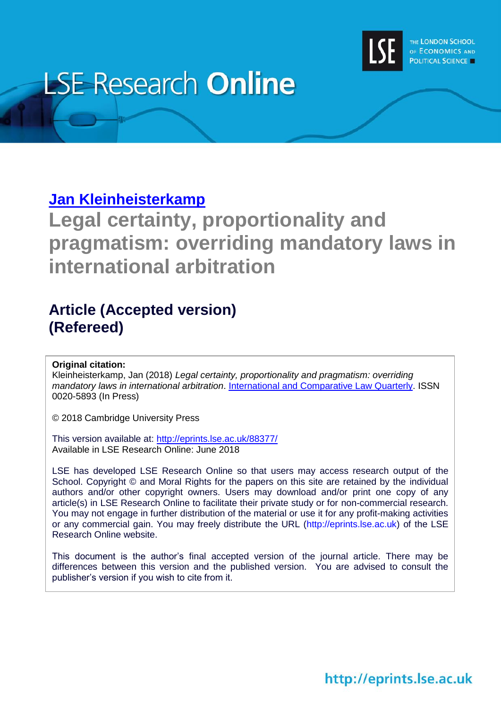

# **LSE Research Online**

# **[Jan Kleinheisterkamp](http://www.lse.ac.uk/researchAndExpertise/Experts/profile.aspx?KeyValue=j.kleinheisterkamp@lse.ac.uk)**

**Legal certainty, proportionality and pragmatism: overriding mandatory laws in international arbitration**

# **Article (Accepted version) (Refereed)**

# **Original citation:**

Kleinheisterkamp, Jan (2018) *Legal certainty, proportionality and pragmatism: overriding mandatory laws in international arbitration*. [International and Comparative Law Quarterly.](https://www.cambridge.org/core/journals/international-and-comparative-law-quarterly) ISSN 0020-5893 (In Press)

© 2018 Cambridge University Press

This version available at:<http://eprints.lse.ac.uk/88377/> Available in LSE Research Online: June 2018

LSE has developed LSE Research Online so that users may access research output of the School. Copyright © and Moral Rights for the papers on this site are retained by the individual authors and/or other copyright owners. Users may download and/or print one copy of any article(s) in LSE Research Online to facilitate their private study or for non-commercial research. You may not engage in further distribution of the material or use it for any profit-making activities or any commercial gain. You may freely distribute the URL (http://eprints.lse.ac.uk) of the LSE Research Online website.

This document is the author's final accepted version of the journal article. There may be differences between this version and the published version. You are advised to consult the publisher's version if you wish to cite from it.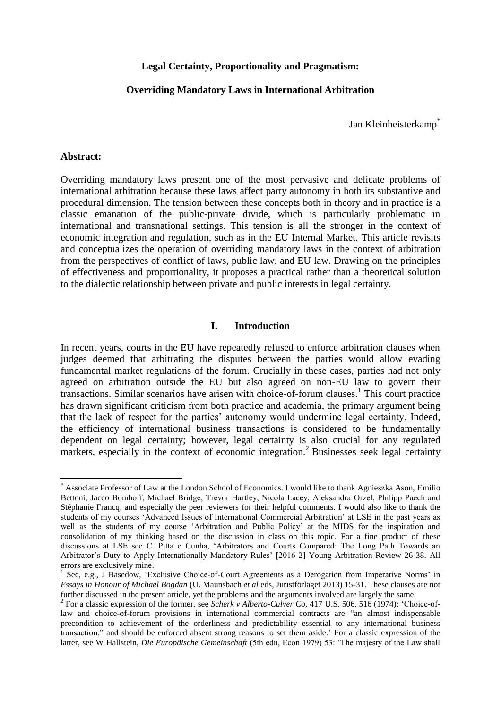# **Legal Certainty, Proportionality and Pragmatism:**

# **Overriding Mandatory Laws in International Arbitration**

Jan Kleinheisterkamp\*

# **Abstract:**

Overriding mandatory laws present one of the most pervasive and delicate problems of international arbitration because these laws affect party autonomy in both its substantive and procedural dimension. The tension between these concepts both in theory and in practice is a classic emanation of the public-private divide, which is particularly problematic in international and transnational settings. This tension is all the stronger in the context of economic integration and regulation, such as in the EU Internal Market. This article revisits and conceptualizes the operation of overriding mandatory laws in the context of arbitration from the perspectives of conflict of laws, public law, and EU law. Drawing on the principles of effectiveness and proportionality, it proposes a practical rather than a theoretical solution to the dialectic relationship between private and public interests in legal certainty.

# <span id="page-1-1"></span><span id="page-1-0"></span>**I. Introduction**

In recent years, courts in the EU have repeatedly refused to enforce arbitration clauses when judges deemed that arbitrating the disputes between the parties would allow evading fundamental market regulations of the forum. Crucially in these cases, parties had not only agreed on arbitration outside the EU but also agreed on non-EU law to govern their transactions. Similar scenarios have arisen with choice-of-forum clauses.<sup>1</sup> This court practice has drawn significant criticism from both practice and academia, the primary argument being that the lack of respect for the parties' autonomy would undermine legal certainty. Indeed, the efficiency of international business transactions is considered to be fundamentally dependent on legal certainty; however, legal certainty is also crucial for any regulated markets, especially in the context of economic integration.<sup>2</sup> Businesses seek legal certainty

 $\overline{a}$ \* Associate Professor of Law at the London School of Economics. I would like to thank Agnieszka Ason, Emilio Bettoni, Jacco Bomhoff, Michael Bridge, Trevor Hartley, Nicola Lacey, Aleksandra Orzeł, Philipp Paech and Stéphanie Francq, and especially the peer reviewers for their helpful comments. I would also like to thank the students of my courses 'Advanced Issues of International Commercial Arbitration' at LSE in the past years as well as the students of my course 'Arbitration and Public Policy' at the MIDS for the inspiration and consolidation of my thinking based on the discussion in class on this topic. For a fine product of these discussions at LSE see C. Pitta e Cunha, 'Arbitrators and Courts Compared: The Long Path Towards an Arbitrator's Duty to Apply Internationally Mandatory Rules' [2016-2] Young Arbitration Review 26-38. All errors are exclusively mine.

<sup>&</sup>lt;sup>1</sup> See, e.g., J Basedow, 'Exclusive Choice-of-Court Agreements as a Derogation from Imperative Norms' in *Essays in Honour of Michael Bogdan* (U. Maunsbach *et al* eds, Juristförlaget 2013) 15-31. These clauses are not further discussed in the present article, yet the problems and the arguments involved are largely the same.

<sup>2</sup> For a classic expression of the former, see *Scherk v Alberto-Culver Co*, 417 U.S. 506, 516 (1974): 'Choice-oflaw and choice-of-forum provisions in international commercial contracts are "an almost indispensable precondition to achievement of the orderliness and predictability essential to any international business transaction," and should be enforced absent strong reasons to set them aside.' For a classic expression of the latter, see W Hallstein, *Die Europäische Gemeinschaft* (5th edn, Econ 1979) 53: 'The majesty of the Law shall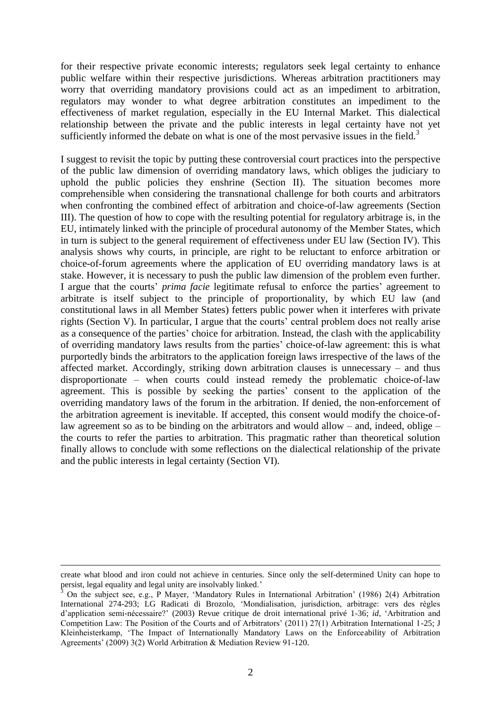for their respective private economic interests; regulators seek legal certainty to enhance public welfare within their respective jurisdictions. Whereas arbitration practitioners may worry that overriding mandatory provisions could act as an impediment to arbitration, regulators may wonder to what degree arbitration constitutes an impediment to the effectiveness of market regulation, especially in the EU Internal Market. This dialectical relationship between the private and the public interests in legal certainty have not yet sufficiently informed the debate on what is one of the most pervasive issues in the field.<sup>3</sup>

<span id="page-2-0"></span>I suggest to revisit the topic by putting these controversial court practices into the perspective of the public law dimension of overriding mandatory laws, which obliges the judiciary to uphold the public policies they enshrine (Section II). The situation becomes more comprehensible when considering the transnational challenge for both courts and arbitrators when confronting the combined effect of arbitration and choice-of-law agreements (Section III). The question of how to cope with the resulting potential for regulatory arbitrage is, in the EU, intimately linked with the principle of procedural autonomy of the Member States, which in turn is subject to the general requirement of effectiveness under EU law (Section IV). This analysis shows why courts, in principle, are right to be reluctant to enforce arbitration or choice-of-forum agreements where the application of EU overriding mandatory laws is at stake. However, it is necessary to push the public law dimension of the problem even further. I argue that the courts' *prima facie* legitimate refusal to enforce the parties' agreement to arbitrate is itself subject to the principle of proportionality, by which EU law (and constitutional laws in all Member States) fetters public power when it interferes with private rights (Section V). In particular, I argue that the courts' central problem does not really arise as a consequence of the parties' choice for arbitration. Instead, the clash with the applicability of overriding mandatory laws results from the parties' choice-of-law agreement: this is what purportedly binds the arbitrators to the application foreign laws irrespective of the laws of the affected market. Accordingly, striking down arbitration clauses is unnecessary – and thus disproportionate – when courts could instead remedy the problematic choice-of-law agreement. This is possible by seeking the parties' consent to the application of the overriding mandatory laws of the forum in the arbitration. If denied, the non-enforcement of the arbitration agreement is inevitable. If accepted, this consent would modify the choice-oflaw agreement so as to be binding on the arbitrators and would allow – and, indeed, oblige – the courts to refer the parties to arbitration. This pragmatic rather than theoretical solution finally allows to conclude with some reflections on the dialectical relationship of the private and the public interests in legal certainty (Section VI).

create what blood and iron could not achieve in centuries. Since only the self-determined Unity can hope to persist, legal equality and legal unity are insolvably linked.'

 $3$  On the subject see, e.g., P Mayer, 'Mandatory Rules in International Arbitration' (1986) 2(4) Arbitration International 274-293; LG Radicati di Brozolo, 'Mondialisation, jurisdiction, arbitrage: vers des règles d'application semi-nécessaire?' (2003) Revue critique de droit international privé 1-36; *id*, 'Arbitration and Competition Law: The Position of the Courts and of Arbitrators' (2011) 27(1) Arbitration International 1-25; J Kleinheisterkamp, 'The Impact of Internationally Mandatory Laws on the Enforceability of Arbitration Agreements' (2009) 3(2) World Arbitration & Mediation Review 91-120.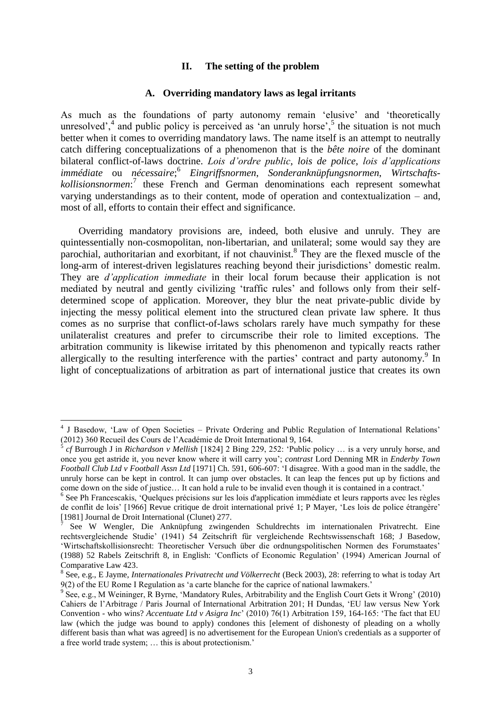# **II. The setting of the problem**

#### <span id="page-3-0"></span>**A. Overriding mandatory laws as legal irritants**

As much as the foundations of party autonomy remain 'elusive' and 'theoretically unresolved',  $4$  and public policy is perceived as 'an unruly horse',  $5$  the situation is not much better when it comes to overriding mandatory laws. The name itself is an attempt to neutrally catch differing conceptualizations of a phenomenon that is the *bête noire* of the dominant bilateral conflict-of-laws doctrine. *Lois d'ordre public*, *lois de police*, *lois d'applications immédiate* ou *nécessaire*; 6 *Eingriffsnormen*, *Sonderanknüpfungsnormen*, *Wirtschaftskollisionsnormen*: 7 these French and German denominations each represent somewhat varying understandings as to their content, mode of operation and contextualization – and, most of all, efforts to contain their effect and significance.

Overriding mandatory provisions are, indeed, both elusive and unruly. They are quintessentially non-cosmopolitan, non-libertarian, and unilateral; some would say they are parochial, authoritarian and exorbitant, if not chauvinist.<sup>8</sup> They are the flexed muscle of the long-arm of interest-driven legislatures reaching beyond their jurisdictions' domestic realm. They are *d'application immediate* in their local forum because their application is not mediated by neutral and gently civilizing 'traffic rules' and follows only from their selfdetermined scope of application. Moreover, they blur the neat private-public divide by injecting the messy political element into the structured clean private law sphere. It thus comes as no surprise that conflict-of-laws scholars rarely have much sympathy for these unilateralist creatures and prefer to circumscribe their role to limited exceptions. The arbitration community is likewise irritated by this phenomenon and typically reacts rather allergically to the resulting interference with the parties' contract and party autonomy.<sup>9</sup> In light of conceptualizations of arbitration as part of international justice that creates its own

<span id="page-3-1"></span> 4 J Basedow, 'Law of Open Societies – Private Ordering and Public Regulation of International Relations' (2012) 360 Recueil des Cours de l'Académie de Droit International 9, 164.<br>5 et Purrough Lin *Bishardson y Mollish* [1824] 2 Ping 220, 252: 'Dublie

*cf* Burrough J in *Richardson v Mellish* [1824] 2 Bing 229, 252: 'Public policy … is a very unruly horse, and once you get astride it, you never know where it will carry you'; *contrast* Lord Denning MR in *Enderby Town Football Club Ltd v Football Assn Ltd* [1971] Ch. 591, 606-607: 'I disagree. With a good man in the saddle, the unruly horse can be kept in control. It can jump over obstacles. It can leap the fences put up by fictions and come down on the side of justice… It can hold a rule to be invalid even though it is contained in a contract.'

<sup>&</sup>lt;sup>6</sup> See Ph Francescakis, 'Quelques précisions sur les lois d'application immédiate et leurs rapports avec les règles de conflit de lois' [1966] Revue critique de droit international privé 1; P Mayer, 'Les lois de police étrangère' [1981] Journal de Droit International (Clunet) 277.

<sup>7</sup> See W Wengler, Die Anknüpfung zwingenden Schuldrechts im internationalen Privatrecht. Eine rechtsvergleichende Studie' (1941) 54 Zeitschrift für vergleichende Rechtswissenschaft 168; J Basedow, 'Wirtschaftskollisionsrecht: Theoretischer Versuch über die ordnungspolitischen Normen des Forumstaates' (1988) 52 Rabels Zeitschrift 8, in English: 'Conflicts of Economic Regulation' (1994) American Journal of Comparative Law 423.

<sup>8</sup> See, e.g., E Jayme, *Internationales Privatrecht und Völkerrecht* (Beck 2003), 28: referring to what is today Art 9(2) of the EU Rome I Regulation as 'a carte blanche for the caprice of national lawmakers.'

<sup>&</sup>lt;sup>9</sup> See, e.g., M Weininger, R Byrne, 'Mandatory Rules, Arbitrability and the English Court Gets it Wrong' (2010) Cahiers de l'Arbitrage / Paris Journal of International Arbitration 201; H Dundas, 'EU law versus New York Convention - who wins? *Accentuate Ltd v Asigra Inc*' (2010) 76(1) Arbitration 159, 164-165: 'The fact that EU law (which the judge was bound to apply) condones this [element of dishonesty of pleading on a wholly different basis than what was agreed] is no advertisement for the European Union's credentials as a supporter of a free world trade system; … this is about protectionism.'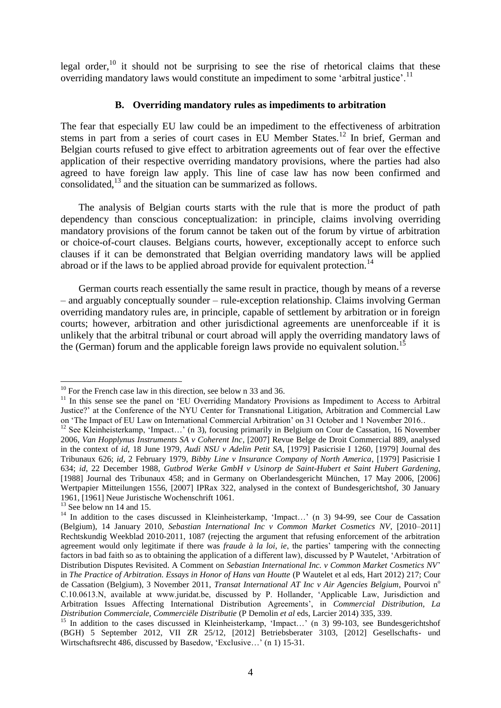legal order, $^{10}$  it should not be surprising to see the rise of rhetorical claims that these overriding mandatory laws would constitute an impediment to some 'arbitral justice'.<sup>11</sup>

# <span id="page-4-2"></span><span id="page-4-0"></span>**B. Overriding mandatory rules as impediments to arbitration**

The fear that especially EU law could be an impediment to the effectiveness of arbitration stems in part from a series of court cases in EU Member States.<sup>12</sup> In brief, German and Belgian courts refused to give effect to arbitration agreements out of fear over the effective application of their respective overriding mandatory provisions, where the parties had also agreed to have foreign law apply. This line of case law has now been confirmed and consolidated,<sup>13</sup> and the situation can be summarized as follows.

The analysis of Belgian courts starts with the rule that is more the product of path dependency than conscious conceptualization: in principle, claims involving overriding mandatory provisions of the forum cannot be taken out of the forum by virtue of arbitration or choice-of-court clauses. Belgians courts, however, exceptionally accept to enforce such clauses if it can be demonstrated that Belgian overriding mandatory laws will be applied abroad or if the laws to be applied abroad provide for equivalent protection.<sup>14</sup>

German courts reach essentially the same result in practice, though by means of a reverse – and arguably conceptually sounder – rule-exception relationship. Claims involving German overriding mandatory rules are, in principle, capable of settlement by arbitration or in foreign courts; however, arbitration and other jurisdictional agreements are unenforceable if it is unlikely that the arbitral tribunal or court abroad will apply the overriding mandatory laws of the (German) forum and the applicable foreign laws provide no equivalent solution.<sup>15</sup>

<span id="page-4-1"></span> $10$  For the French case law in this direction, see below n [33](#page-8-0) and [36.](#page-8-1)

<sup>&</sup>lt;sup>11</sup> In this sense see the panel on 'EU Overriding Mandatory Provisions as Impediment to Access to Arbitral Justice?' at the Conference of the NYU Center for Transnational Litigation, Arbitration and Commercial Law on 'The Impact of EU Law on International Commercial Arbitration' on 31 October and 1 November 2016..

 $12$  See Kleinheisterkamp, 'Impact...' (n [3\)](#page-2-0), focusing primarily in Belgium on Cour de Cassation, 16 November 2006, *Van Hopplynus Instruments SA v Coherent Inc*, [2007] Revue Belge de Droit Commercial 889, analysed in the context of *id*, 18 June 1979, *Audi NSU v Adelin Petit SA*, [1979] Pasicrisie I 1260, [1979] Journal des Tribunaux 626; *id*, 2 February 1979, *Bibby Line v Insurance Company of North America*, [1979] Pasicrisie I 634; *id*, 22 December 1988, *Gutbrod Werke GmbH v Usinorp de Saint-Hubert et Saint Hubert Gardening*, [1988] Journal des Tribunaux 458; and in Germany on Oberlandesgericht München, 17 May 2006, [2006] Wertpapier Mitteilungen 1556, [2007] IPRax 322, analysed in the context of Bundesgerichtshof, 30 January 1961, [1961] Neue Juristische Wochenschrift 1061.

 $13$  See below nn [14](#page-4-0) and [15.](#page-4-1)

<sup>&</sup>lt;sup>14</sup> In addition to the cases discussed in Kleinheisterkamp, 'Impact...' (n [3\)](#page-2-0) 94-99, see Cour de Cassation (Belgium), 14 January 2010, *Sebastian International Inc v Common Market Cosmetics NV*, [2010–2011] Rechtskundig Weekblad 2010-2011, 1087 (rejecting the argument that refusing enforcement of the arbitration agreement would only legitimate if there was *fraude à la loi*, *ie*, the parties' tampering with the connecting factors in bad faith so as to obtaining the application of a different law), discussed by P Wautelet, 'Arbitration of Distribution Disputes Revisited. A Comment on *Sebastian International Inc. v Common Market Cosmetics NV*' in *The Practice of Arbitration. Essays in Honor of Hans van Houtte* (P Wautelet et al eds, Hart 2012) 217; Cour de Cassation (Belgium), 3 November 2011, *Transat International AT Inc v Air Agencies Belgium*, Pourvoi n<sup>o</sup> C.10.0613.N, available at www.juridat.be, discussed by P. Hollander, 'Applicable Law, Jurisdiction and Arbitration Issues Affecting International Distribution Agreements', in *Commercial Distribution, La Distribution Commerciale, Commerciële Distributie* (P Demolin *et al* eds, Larcier 2014) 335, 339.

<sup>&</sup>lt;sup>15</sup> In addition to the cases discussed in Kleinheisterkamp, 'Impact...' (n [3\)](#page-2-0) 99-103, see Bundesgerichtshof (BGH) 5 September 2012, VII ZR 25/12, [2012] Betriebsberater 3103, [2012] Gesellschafts- und Wirtschaftsrecht 486, discussed by Basedow, 'Exclusive…' (n [1\)](#page-1-0) 15-31.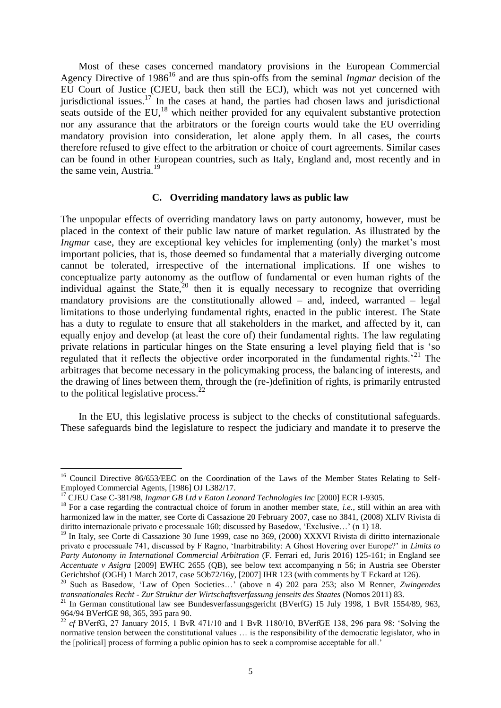Most of these cases concerned mandatory provisions in the European Commercial Agency Directive of 1986<sup>16</sup> and are thus spin-offs from the seminal *Ingmar* decision of the EU Court of Justice (CJEU, back then still the ECJ), which was not yet concerned with jurisdictional issues.<sup>17</sup> In the cases at hand, the parties had chosen laws and jurisdictional seats outside of the  $EU<sup>18</sup>$  which neither provided for any equivalent substantive protection nor any assurance that the arbitrators or the foreign courts would take the EU overriding mandatory provision into consideration, let alone apply them. In all cases, the courts therefore refused to give effect to the arbitration or choice of court agreements. Similar cases can be found in other European countries, such as Italy, England and, most recently and in the same vein, Austria. $^{19}$ 

# <span id="page-5-0"></span>**C. Overriding mandatory laws as public law**

The unpopular effects of overriding mandatory laws on party autonomy, however, must be placed in the context of their public law nature of market regulation. As illustrated by the *Ingmar* case, they are exceptional key vehicles for implementing (only) the market's most important policies, that is, those deemed so fundamental that a materially diverging outcome cannot be tolerated, irrespective of the international implications. If one wishes to conceptualize party autonomy as the outflow of fundamental or even human rights of the individual against the State, $20$  then it is equally necessary to recognize that overriding mandatory provisions are the constitutionally allowed – and, indeed, warranted – legal limitations to those underlying fundamental rights, enacted in the public interest. The State has a duty to regulate to ensure that all stakeholders in the market, and affected by it, can equally enjoy and develop (at least the core of) their fundamental rights. The law regulating private relations in particular hinges on the State ensuring a level playing field that is 'so regulated that it reflects the objective order incorporated in the fundamental rights.<sup>21</sup> The arbitrages that become necessary in the policymaking process, the balancing of interests, and the drawing of lines between them, through the (re-)definition of rights, is primarily entrusted to the political legislative process.<sup>22</sup>

In the EU, this legislative process is subject to the checks of constitutional safeguards. These safeguards bind the legislature to respect the judiciary and mandate it to preserve the

<sup>&</sup>lt;sup>16</sup> Council Directive 86/653/EEC on the Coordination of the Laws of the Member States Relating to Self-Employed Commercial Agents, [1986] OJ L382/17.

<sup>17</sup> CJEU Case C-381/98, *Ingmar GB Ltd v Eaton Leonard Technologies Inc* [2000] ECR I-9305.

<sup>&</sup>lt;sup>18</sup> For a case regarding the contractual choice of forum in another member state, *i.e.*, still within an area with harmonized law in the matter, see Corte di Cassazione 20 February 2007, case no 3841, (2008) XLIV Rivista di diritto internazionale privato e processuale 160; discussed by Basedow, 'Exclusive…' ([n 1\)](#page-1-0) 18.

<sup>&</sup>lt;sup>19</sup> In Italy, see Corte di Cassazione 30 June 1999, case no 369, (2000) XXXVI Rivista di diritto internazionale privato e processuale 741, discussed by F Ragno, 'Inarbitrability: A Ghost Hovering over Europe?' in *Limits to Party Autonomy in International Commercial Arbitration* (F. Ferrari ed, Juris 2016) 125-161; in England see *Accentuate v Asigra* [2009] EWHC 2655 (QB), see below text accompanying n [56;](#page-11-0) in Austria see Oberster Gerichtshof (OGH) 1 March 2017, case 5Ob72/16y, [2007] IHR 123 (with comments by T Eckard at 126).

<sup>20</sup> Such as Basedow, 'Law of Open Societies…' (above n [4\)](#page-3-0) 202 para 253; also M Renner, *Zwingendes transnationales Recht - Zur Struktur der Wirtschaftsverfassung jenseits des Staates* (Nomos 2011) 83.

<sup>&</sup>lt;sup>21</sup> In German constitutional law see Bundesverfassungsgericht (BVerfG) 15 July 1998, 1 BvR 1554/89, 963, 964/94 BVerfGE 98, 365, 395 para 90.

<sup>22</sup> *cf* BVerfG, 27 January 2015, 1 BvR 471/10 and 1 BvR 1180/10, BVerfGE 138, 296 para 98: 'Solving the normative tension between the constitutional values … is the responsibility of the democratic legislator, who in the [political] process of forming a public opinion has to seek a compromise acceptable for all.'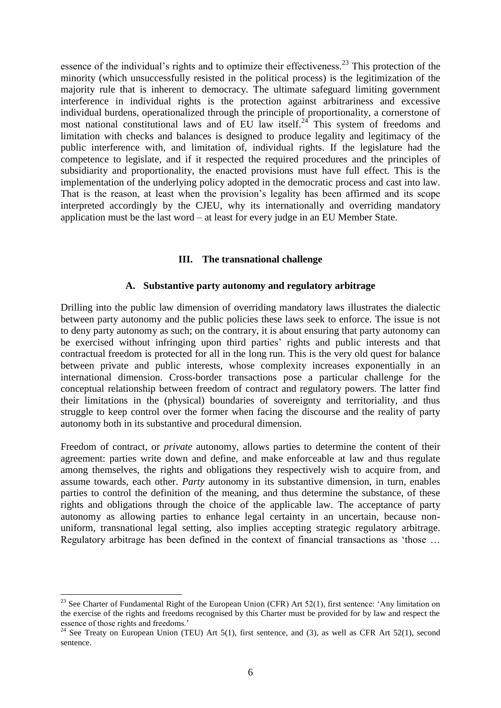essence of the individual's rights and to optimize their effectiveness.<sup>23</sup> This protection of the minority (which unsuccessfully resisted in the political process) is the legitimization of the majority rule that is inherent to democracy. The ultimate safeguard limiting government interference in individual rights is the protection against arbitrariness and excessive individual burdens, operationalized through the principle of proportionality, a cornerstone of most national constitutional laws and of EU law itself.<sup>24</sup> This system of freedoms and limitation with checks and balances is designed to produce legality and legitimacy of the public interference with, and limitation of, individual rights. If the legislature had the competence to legislate, and if it respected the required procedures and the principles of subsidiarity and proportionality, the enacted provisions must have full effect. This is the implementation of the underlying policy adopted in the democratic process and cast into law. That is the reason, at least when the provision's legality has been affirmed and its scope interpreted accordingly by the CJEU, why its internationally and overriding mandatory application must be the last word – at least for every judge in an EU Member State.

# **III. The transnational challenge**

# **A. Substantive party autonomy and regulatory arbitrage**

Drilling into the public law dimension of overriding mandatory laws illustrates the dialectic between party autonomy and the public policies these laws seek to enforce. The issue is not to deny party autonomy as such; on the contrary, it is about ensuring that party autonomy can be exercised without infringing upon third parties' rights and public interests and that contractual freedom is protected for all in the long run. This is the very old quest for balance between private and public interests, whose complexity increases exponentially in an international dimension. Cross-border transactions pose a particular challenge for the conceptual relationship between freedom of contract and regulatory powers. The latter find their limitations in the (physical) boundaries of sovereignty and territoriality, and thus struggle to keep control over the former when facing the discourse and the reality of party autonomy both in its substantive and procedural dimension.

Freedom of contract, or *private* autonomy, allows parties to determine the content of their agreement: parties write down and define, and make enforceable at law and thus regulate among themselves, the rights and obligations they respectively wish to acquire from, and assume towards, each other. *Party* autonomy in its substantive dimension, in turn, enables parties to control the definition of the meaning, and thus determine the substance, of these rights and obligations through the choice of the applicable law. The acceptance of party autonomy as allowing parties to enhance legal certainty in an uncertain, because nonuniform, transnational legal setting, also implies accepting strategic regulatory arbitrage. Regulatory arbitrage has been defined in the context of financial transactions as 'those …

 $\overline{a}$ <sup>23</sup> See Charter of Fundamental Right of the European Union (CFR) Art 52(1), first sentence: 'Any limitation on the exercise of the rights and freedoms recognised by this Charter must be provided for by law and respect the essence of those rights and freedoms.'

<sup>&</sup>lt;sup>24</sup> See Treaty on European Union (TEU) Art 5(1), first sentence, and (3), as well as CFR Art 52(1), second sentence.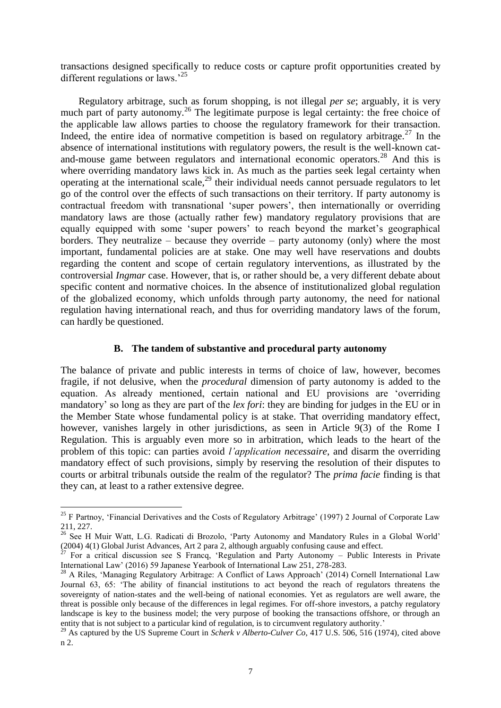transactions designed specifically to reduce costs or capture profit opportunities created by different regulations or laws.<sup>25</sup>

<span id="page-7-0"></span>Regulatory arbitrage, such as forum shopping, is not illegal *per se*; arguably, it is very much part of party autonomy.<sup>26</sup> The legitimate purpose is legal certainty: the free choice of the applicable law allows parties to choose the regulatory framework for their transaction. Indeed, the entire idea of normative competition is based on regulatory arbitrage.<sup>27</sup> In the absence of international institutions with regulatory powers, the result is the well-known catand-mouse game between regulators and international economic operators.<sup>28</sup> And this is where overriding mandatory laws kick in. As much as the parties seek legal certainty when operating at the international scale,<sup>29</sup> their individual needs cannot persuade regulators to let go of the control over the effects of such transactions on their territory. If party autonomy is contractual freedom with transnational 'super powers', then internationally or overriding mandatory laws are those (actually rather few) mandatory regulatory provisions that are equally equipped with some 'super powers' to reach beyond the market's geographical borders. They neutralize – because they override – party autonomy (only) where the most important, fundamental policies are at stake. One may well have reservations and doubts regarding the content and scope of certain regulatory interventions, as illustrated by the controversial *Ingmar* case. However, that is, or rather should be, a very different debate about specific content and normative choices. In the absence of institutionalized global regulation of the globalized economy, which unfolds through party autonomy, the need for national regulation having international reach, and thus for overriding mandatory laws of the forum, can hardly be questioned.

# **B. The tandem of substantive and procedural party autonomy**

The balance of private and public interests in terms of choice of law, however, becomes fragile, if not delusive, when the *procedural* dimension of party autonomy is added to the equation. As already mentioned, certain national and EU provisions are 'overriding mandatory' so long as they are part of the *lex fori*: they are binding for judges in the EU or in the Member State whose fundamental policy is at stake. That overriding mandatory effect, however, vanishes largely in other jurisdictions, as seen in Article 9(3) of the Rome I Regulation. This is arguably even more so in arbitration, which leads to the heart of the problem of this topic: can parties avoid *l'application necessaire*, and disarm the overriding mandatory effect of such provisions, simply by reserving the resolution of their disputes to courts or arbitral tribunals outside the realm of the regulator? The *prima facie* finding is that they can, at least to a rather extensive degree.

 $^{25}$  F Partnoy, 'Financial Derivatives and the Costs of Regulatory Arbitrage' (1997) 2 Journal of Corporate Law 211, 227.

<sup>&</sup>lt;sup>26</sup> See H Muir Watt, L.G. Radicati di Brozolo, 'Party Autonomy and Mandatory Rules in a Global World' (2004) 4(1) Global Jurist Advances, Art 2 para 2, although arguably confusing cause and effect.

 $27$  For a critical discussion see S Francq, 'Regulation and Party Autonomy – Public Interests in Private International Law' (2016) 59 Japanese Yearbook of International Law 251, 278-283.

<sup>&</sup>lt;sup>28</sup> A Riles, 'Managing Regulatory Arbitrage: A Conflict of Laws Approach' (2014) Cornell International Law Journal 63, 65: 'The ability of financial institutions to act beyond the reach of regulators threatens the sovereignty of nation-states and the well-being of national economies. Yet as regulators are well aware, the threat is possible only because of the differences in legal regimes. For off-shore investors, a patchy regulatory landscape is key to the business model; the very purpose of booking the transactions offshore, or through an entity that is not subject to a particular kind of regulation, is to circumvent regulatory authority.'

<sup>29</sup> As captured by the US Supreme Court in *Scherk v Alberto-Culver Co*, 417 U.S. 506, 516 (1974), cited above [n 2.](#page-1-1)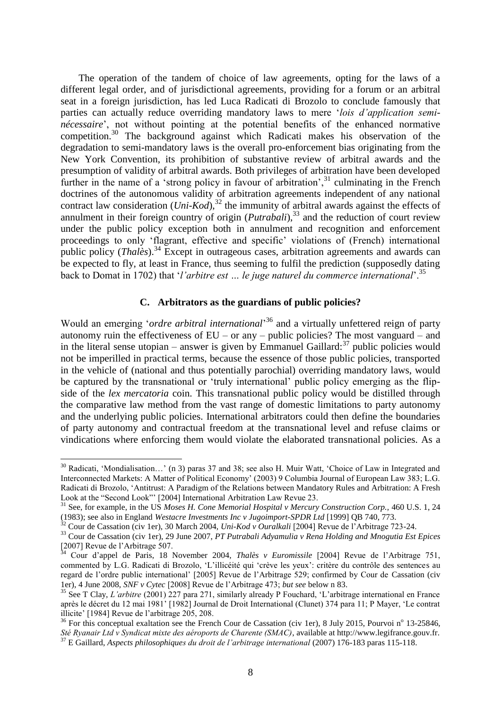<span id="page-8-4"></span>The operation of the tandem of choice of law agreements, opting for the laws of a different legal order, and of jurisdictional agreements, providing for a forum or an arbitral seat in a foreign jurisdiction, has led Luca Radicati di Brozolo to conclude famously that parties can actually reduce overriding mandatory laws to mere '*lois d'application seminécessaire*', not without pointing at the potential benefits of the enhanced normative competition.<sup>30</sup> The background against which Radicati makes his observation of the degradation to semi-mandatory laws is the overall pro-enforcement bias originating from the New York Convention, its prohibition of substantive review of arbitral awards and the presumption of validity of arbitral awards. Both privileges of arbitration have been developed further in the name of a 'strong policy in favour of arbitration',<sup>31</sup> culminating in the French doctrines of the autonomous validity of arbitration agreements independent of any national contract law consideration  $(Uni-Kod)^{32}$  the immunity of arbitral awards against the effects of annulment in their foreign country of origin (*Putrabali*),<sup>33</sup> and the reduction of court review under the public policy exception both in annulment and recognition and enforcement proceedings to only 'flagrant, effective and specific' violations of (French) international public policy (*Thalès*).<sup>34</sup> Except in outrageous cases, arbitration agreements and awards can be expected to fly, at least in France, thus seeming to fulfil the prediction (supposedly dating back to Domat in 1702) that '*l'arbitre est … le juge naturel du commerce international*'.<sup>35</sup>

# <span id="page-8-3"></span><span id="page-8-2"></span><span id="page-8-1"></span><span id="page-8-0"></span>**C. Arbitrators as the guardians of public policies?**

Would an emerging '*ordre arbitral international*' <sup>36</sup> and a virtually unfettered reign of party autonomy ruin the effectiveness of  $EU$  – or any – public policies? The most vanguard – and in the literal sense utopian – answer is given by Emmanuel Gaillard: $37$  public policies would not be imperilled in practical terms, because the essence of those public policies, transported in the vehicle of (national and thus potentially parochial) overriding mandatory laws, would be captured by the transnational or 'truly international' public policy emerging as the flipside of the *lex mercatoria* coin. This transnational public policy would be distilled through the comparative law method from the vast range of domestic limitations to party autonomy and the underlying public policies. International arbitrators could then define the boundaries of party autonomy and contractual freedom at the transnational level and refuse claims or vindications where enforcing them would violate the elaborated transnational policies. As a

 $30$  Radicati, 'Mondialisation...' (n [3\)](#page-2-0) paras 37 and 38; see also H. Muir Watt, 'Choice of Law in Integrated and Interconnected Markets: A Matter of Political Economy' (2003) 9 Columbia Journal of European Law 383; L.G. Radicati di Brozolo, 'Antitrust: A Paradigm of the Relations between Mandatory Rules and Arbitration: A Fresh Look at the "Second Look"' [2004] International Arbitration Law Revue 23.

<sup>&</sup>lt;sup>31</sup> See, for example, in the US Moses H. Cone Memorial Hospital v Mercury Construction Corp., 460 U.S. 1, 24 (1983); see also in England *Westacre Investments Inc v Jugoimport-SPDR Ltd* [1999] QB 740, 773.

<sup>32</sup> Cour de Cassation (civ 1er), 30 March 2004, *Uni-Kod v Ouralkali* [2004] Revue de l'Arbitrage 723-24.

<sup>33</sup> Cour de Cassation (civ 1er), 29 June 2007, *PT Putrabali Adyamulia v Rena Holding and Mnogutia Est Epices*  $[2007]$  Revue de l'Arbitrage 507.

<sup>34</sup> Cour d'appel de Paris, 18 November 2004, *Thalès v Euromissile* [2004] Revue de l'Arbitrage 751, commented by L.G. Radicati di Brozolo, 'L'illicéité qui 'crève les yeux': critère du contrôle des sentences au regard de l'ordre public international' [2005] Revue de l'Arbitrage 529; confirmed by Cour de Cassation (civ 1er), 4 June 2008, *SNF v Cytec* [2008] Revue de l'Arbitrage 473; *but see* below n [83.](#page-16-0)

<sup>35</sup> See T Clay, *L'arbitre* (2001) 227 para 271, similarly already P Fouchard, 'L'arbitrage international en France après le décret du 12 mai 1981' [1982] Journal de Droit International (Clunet) 374 para 11; P Mayer, 'Le contrat illicite' [1984] Revue de l'arbitrage 205, 208.

 $36$  For this conceptual exaltation see the French Cour de Cassation (civ 1er), 8 July 2015, Pourvoi n<sup>o</sup> 13-25846, *Sté Ryanair Ltd v Syndicat mixte des aéroports de Charente (SMAC)*, available at http://www.legifrance.gouv.fr.

<sup>37</sup> E Gaillard, *Aspects philosophiques du droit de l'arbitrage international* (2007) 176-183 paras 115-118.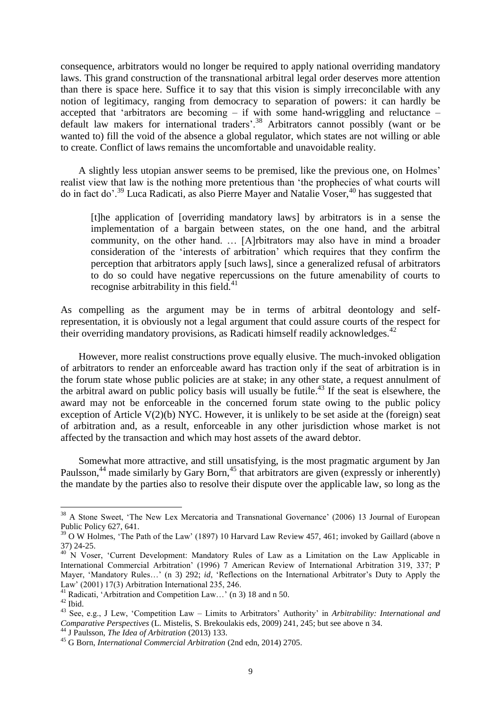consequence, arbitrators would no longer be required to apply national overriding mandatory laws. This grand construction of the transnational arbitral legal order deserves more attention than there is space here. Suffice it to say that this vision is simply irreconcilable with any notion of legitimacy, ranging from democracy to separation of powers: it can hardly be accepted that 'arbitrators are becoming – if with some hand-wriggling and reluctance – default law makers for international traders<sup>', 38</sup> Arbitrators cannot possibly (want or be wanted to) fill the void of the absence a global regulator, which states are not willing or able to create. Conflict of laws remains the uncomfortable and unavoidable reality.

A slightly less utopian answer seems to be premised, like the previous one, on Holmes' realist view that law is the nothing more pretentious than 'the prophecies of what courts will do in fact do'.<sup>39</sup> Luca Radicati, as also Pierre Mayer and Natalie Voser,<sup>40</sup> has suggested that

[t]he application of [overriding mandatory laws] by arbitrators is in a sense the implementation of a bargain between states, on the one hand, and the arbitral community, on the other hand. … [A]rbitrators may also have in mind a broader consideration of the 'interests of arbitration' which requires that they confirm the perception that arbitrators apply [such laws], since a generalized refusal of arbitrators to do so could have negative repercussions on the future amenability of courts to recognise arbitrability in this field. $41$ 

As compelling as the argument may be in terms of arbitral deontology and selfrepresentation, it is obviously not a legal argument that could assure courts of the respect for their overriding mandatory provisions, as Radicati himself readily acknowledges.  $42$ 

<span id="page-9-0"></span>However, more realist constructions prove equally elusive. The much-invoked obligation of arbitrators to render an enforceable award has traction only if the seat of arbitration is in the forum state whose public policies are at stake; in any other state, a request annulment of the arbitral award on public policy basis will usually be futile. <sup>43</sup> If the seat is elsewhere, the award may not be enforceable in the concerned forum state owing to the public policy exception of Article  $V(2)(b)$  NYC. However, it is unlikely to be set aside at the (foreign) seat of arbitration and, as a result, enforceable in any other jurisdiction whose market is not affected by the transaction and which may host assets of the award debtor.

Somewhat more attractive, and still unsatisfying, is the most pragmatic argument by Jan Paulsson,<sup>44</sup> made similarly by Gary Born,<sup>45</sup> that arbitrators are given (expressly or inherently) the mandate by the parties also to resolve their dispute over the applicable law, so long as the

<sup>&</sup>lt;sup>38</sup> A Stone Sweet, 'The New Lex Mercatoria and Transnational Governance' (2006) 13 Journal of European Public Policy 627, 641.

<sup>&</sup>lt;sup>39</sup> O W Holmes, 'The Path of the Law' (1897) 10 Harvard Law Review 457, 461; invoked by Gaillard (above n [37\)](#page-8-2) 24-25.

<sup>&</sup>lt;sup>40</sup> N Voser, 'Current Development: Mandatory Rules of Law as a Limitation on the Law Applicable in International Commercial Arbitration' (1996) 7 American Review of International Arbitration 319, 337; P Mayer, 'Mandatory Rules…' (n [3\)](#page-2-0) 292; *id*, 'Reflections on the International Arbitrator's Duty to Apply the Law' (2001) 17(3) Arbitration International 235, 246.

<sup>41</sup> Radicati, 'Arbitration and Competition Law…' ([n 3\)](#page-2-0) 18 and n 50.

 $^{\rm 42}$  Ibid.

<sup>43</sup> See, e.g., J Lew, 'Competition Law – Limits to Arbitrators' Authority' in *Arbitrability: International and Comparative Perspectives* (L. Mistelis, S. Brekoulakis eds, 2009) 241, 245; but see above n [34.](#page-8-3)

<sup>44</sup> J Paulsson, *The Idea of Arbitration* (2013) 133.

<sup>45</sup> G Born, *International Commercial Arbitration* (2nd edn, 2014) 2705.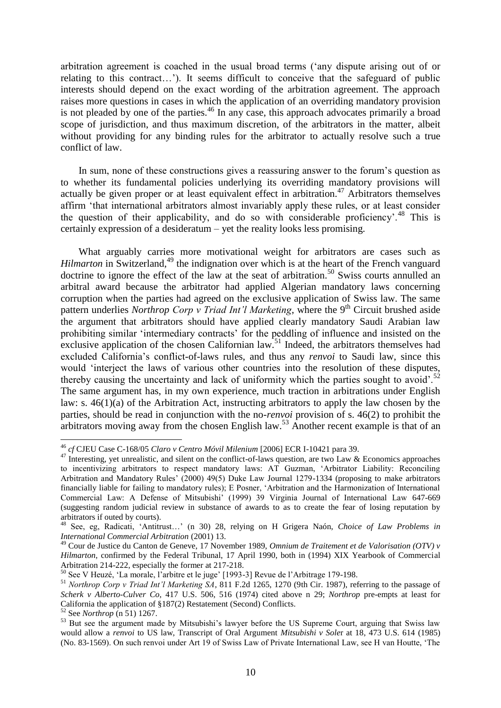arbitration agreement is coached in the usual broad terms ('any dispute arising out of or relating to this contract…'). It seems difficult to conceive that the safeguard of public interests should depend on the exact wording of the arbitration agreement. The approach raises more questions in cases in which the application of an overriding mandatory provision is not pleaded by one of the parties.<sup>46</sup> In any case, this approach advocates primarily a broad scope of jurisdiction, and thus maximum discretion, of the arbitrators in the matter, albeit without providing for any binding rules for the arbitrator to actually resolve such a true conflict of law.

In sum, none of these constructions gives a reassuring answer to the forum's question as to whether its fundamental policies underlying its overriding mandatory provisions will actually be given proper or at least equivalent effect in arbitration.<sup>47</sup> Arbitrators themselves affirm 'that international arbitrators almost invariably apply these rules, or at least consider the question of their applicability, and do so with considerable proficiency'.<sup>48</sup> This is certainly expression of a desideratum – yet the reality looks less promising.

<span id="page-10-1"></span>What arguably carries more motivational weight for arbitrators are cases such as *Hilmarton* in Switzerland,<sup>49</sup> the indignation over which is at the heart of the French vanguard doctrine to ignore the effect of the law at the seat of arbitration.<sup>50</sup> Swiss courts annulled an arbitral award because the arbitrator had applied Algerian mandatory laws concerning corruption when the parties had agreed on the exclusive application of Swiss law. The same pattern underlies *Northrop Corp v Triad Int'l Marketing*, where the 9<sup>th</sup> Circuit brushed aside the argument that arbitrators should have applied clearly mandatory Saudi Arabian law prohibiting similar 'intermediary contracts' for the peddling of influence and insisted on the exclusive application of the chosen Californian law.<sup>51</sup> Indeed, the arbitrators themselves had excluded California's conflict-of-laws rules, and thus any *renvoi* to Saudi law, since this would 'interject the laws of various other countries into the resolution of these disputes, thereby causing the uncertainty and lack of uniformity which the parties sought to avoid'.<sup>52</sup> The same argument has, in my own experience, much traction in arbitrations under English law: s. 46(1)(a) of the Arbitration Act, instructing arbitrators to apply the law chosen by the parties, should be read in conjunction with the no-*renvoi* provision of s. 46(2) to prohibit the arbitrators moving away from the chosen English law.<sup>53</sup> Another recent example is that of an

<span id="page-10-0"></span> $\overline{a}$ <sup>46</sup> *cf* CJEU Case C-168/05 *Claro v Centro Móvil Milenium* [2006] ECR I-10421 para 39.

<sup>&</sup>lt;sup>47</sup> Interesting, yet unrealistic, and silent on the conflict-of-laws question, are two Law & Economics approaches to incentivizing arbitrators to respect mandatory laws: AT Guzman, 'Arbitrator Liability: Reconciling Arbitration and Mandatory Rules' (2000) 49(5) Duke Law Journal 1279-1334 (proposing to make arbitrators financially liable for failing to mandatory rules); E Posner, 'Arbitration and the Harmonization of International Commercial Law: A Defense of Mitsubishi' (1999) 39 Virginia Journal of International Law 647-669 (suggesting random judicial review in substance of awards to as to create the fear of losing reputation by arbitrators if outed by courts).

<sup>48</sup> See, eg, Radicati, 'Antitrust…' (n [30\)](#page-8-4) 28, relying on H Grigera Naón, *Choice of Law Problems in International Commercial Arbitration* (2001) 13.

<sup>49</sup> Cour de Justice du Canton de Geneve, 17 November 1989, *Omnium de Traitement et de Valorisation (OTV) v Hilmarton*, confirmed by the Federal Tribunal, 17 April 1990, both in (1994) XIX Yearbook of Commercial Arbitration 214-222, especially the former at 217-218.

<sup>50</sup> See V Heuzé, 'La morale, l'arbitre et le juge' [1993-3] Revue de l'Arbitrage 179-198.

<sup>51</sup> *Northrop Corp v Triad Int'l Marketing SA*, 811 F.2d 1265, 1270 (9th Cir. 1987), referring to the passage of *Scherk v Alberto-Culver Co*, 417 U.S. 506, 516 (1974) cited above n [29;](#page-7-0) *Northrop* pre-empts at least for California the application of §187(2) Restatement (Second) Conflicts.

<sup>52</sup> See *Northrop* (n [51\)](#page-10-0) 1267.

<sup>&</sup>lt;sup>53</sup> But see the argument made by Mitsubishi's lawyer before the US Supreme Court, arguing that Swiss law would allow a *renvoi* to US law, Transcript of Oral Argument *Mitsubishi v Sole*r at 18, 473 U.S. 614 (1985) (No. 83-1569). On such renvoi under Art 19 of Swiss Law of Private International Law, see H van Houtte, 'The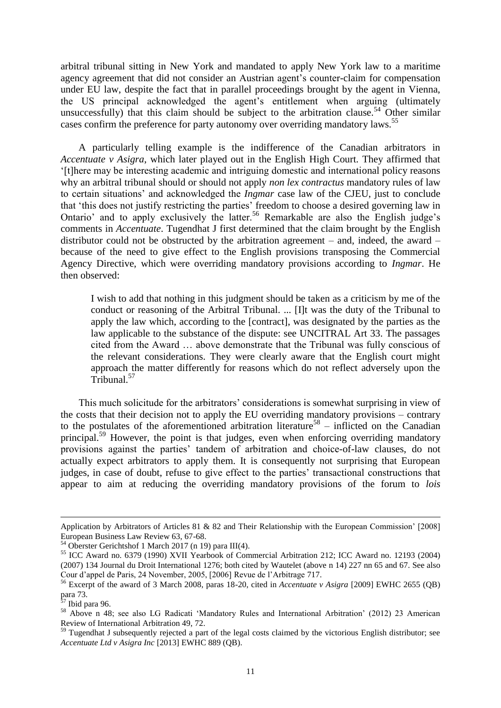arbitral tribunal sitting in New York and mandated to apply New York law to a maritime agency agreement that did not consider an Austrian agent's counter-claim for compensation under EU law, despite the fact that in parallel proceedings brought by the agent in Vienna, the US principal acknowledged the agent's entitlement when arguing (ultimately unsuccessfully) that this claim should be subject to the arbitration clause.<sup>54</sup> Other similar cases confirm the preference for party autonomy over overriding mandatory laws.<sup>55</sup>

A particularly telling example is the indifference of the Canadian arbitrators in *Accentuate v Asigra*, which later played out in the English High Court. They affirmed that '[t]here may be interesting academic and intriguing domestic and international policy reasons why an arbitral tribunal should or should not apply *non lex contractus* mandatory rules of law to certain situations' and acknowledged the *Ingmar* case law of the CJEU, just to conclude that 'this does not justify restricting the parties' freedom to choose a desired governing law in Ontario' and to apply exclusively the latter.<sup>56</sup> Remarkable are also the English judge's comments in *Accentuate*. Tugendhat J first determined that the claim brought by the English distributor could not be obstructed by the arbitration agreement – and, indeed, the award – because of the need to give effect to the English provisions transposing the Commercial Agency Directive, which were overriding mandatory provisions according to *Ingmar*. He then observed:

<span id="page-11-0"></span>I wish to add that nothing in this judgment should be taken as a criticism by me of the conduct or reasoning of the Arbitral Tribunal. ... [I]t was the duty of the Tribunal to apply the law which, according to the [contract], was designated by the parties as the law applicable to the substance of the dispute: see UNCITRAL Art 33. The passages cited from the Award … above demonstrate that the Tribunal was fully conscious of the relevant considerations. They were clearly aware that the English court might approach the matter differently for reasons which do not reflect adversely upon the Tribunal.<sup>57</sup>

This much solicitude for the arbitrators' considerations is somewhat surprising in view of the costs that their decision not to apply the EU overriding mandatory provisions – contrary to the postulates of the aforementioned arbitration literature<sup>58</sup> – inflicted on the Canadian principal.<sup>59</sup> However, the point is that judges, even when enforcing overriding mandatory provisions against the parties' tandem of arbitration and choice-of-law clauses, do not actually expect arbitrators to apply them. It is consequently not surprising that European judges, in case of doubt, refuse to give effect to the parties' transactional constructions that appear to aim at reducing the overriding mandatory provisions of the forum to *lois* 

Application by Arbitrators of Articles 81 & 82 and Their Relationship with the European Commission' [2008] European Business Law Review 63, 67-68.

 $^{54}$  Oberster Gerichtshof 1 March 2017 (n [19\)](#page-5-0) para III(4).

<sup>55</sup> ICC Award no. 6379 (1990) XVII Yearbook of Commercial Arbitration 212; ICC Award no. 12193 (2004) (2007) 134 Journal du Droit International 1276; both cited by Wautelet (above n [14\)](#page-4-0) 227 nn 65 and 67. See also Cour d'appel de Paris, 24 November, 2005, [2006] Revue de l'Arbitrage 717.

<sup>56</sup> Excerpt of the award of 3 March 2008, paras 18-20, cited in *Accentuate v Asigra* [2009] EWHC 2655 (QB) para 73.

<sup>&</sup>lt;sup>57</sup> Ibid para 96.

<sup>58</sup> Above n [48;](#page-10-1) see also LG Radicati 'Mandatory Rules and International Arbitration' (2012) 23 American Review of International Arbitration 49, 72.

 $59$  Tugendhat J subsequently rejected a part of the legal costs claimed by the victorious English distributor; see *Accentuate Ltd v Asigra Inc* [2013] EWHC 889 (QB).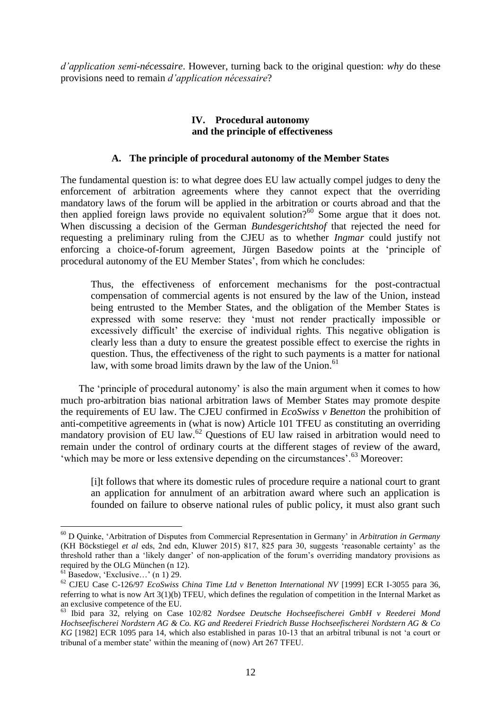*d'application semi-nécessaire*. However, turning back to the original question: *why* do these provisions need to remain *d'application nécessaire*?

# **IV. Procedural autonomy and the principle of effectiveness**

# **A. The principle of procedural autonomy of the Member States**

The fundamental question is: to what degree does EU law actually compel judges to deny the enforcement of arbitration agreements where they cannot expect that the overriding mandatory laws of the forum will be applied in the arbitration or courts abroad and that the then applied foreign laws provide no equivalent solution?<sup>60</sup> Some argue that it does not. When discussing a decision of the German *Bundesgerichtshof* that rejected the need for requesting a preliminary ruling from the CJEU as to whether *Ingmar* could justify not enforcing a choice-of-forum agreement, Jürgen Basedow points at the 'principle of procedural autonomy of the EU Member States', from which he concludes:

<span id="page-12-2"></span>Thus, the effectiveness of enforcement mechanisms for the post-contractual compensation of commercial agents is not ensured by the law of the Union, instead being entrusted to the Member States, and the obligation of the Member States is expressed with some reserve: they 'must not render practically impossible or excessively difficult' the exercise of individual rights. This negative obligation is clearly less than a duty to ensure the greatest possible effect to exercise the rights in question. Thus, the effectiveness of the right to such payments is a matter for national law, with some broad limits drawn by the law of the Union. $61$ 

The 'principle of procedural autonomy' is also the main argument when it comes to how much pro-arbitration bias national arbitration laws of Member States may promote despite the requirements of EU law. The CJEU confirmed in *EcoSwiss v Benetton* the prohibition of anti-competitive agreements in (what is now) Article 101 TFEU as constituting an overriding mandatory provision of EU law.<sup>62</sup> Questions of EU law raised in arbitration would need to remain under the control of ordinary courts at the different stages of review of the award, 'which may be more or less extensive depending on the circumstances'.<sup>63</sup> Moreover:

<span id="page-12-1"></span><span id="page-12-0"></span>[i]t follows that where its domestic rules of procedure require a national court to grant an application for annulment of an arbitration award where such an application is founded on failure to observe national rules of public policy, it must also grant such

<sup>60</sup> D Quinke, 'Arbitration of Disputes from Commercial Representation in Germany' in *Arbitration in Germany*  (KH Böckstiegel *et al* eds, 2nd edn, Kluwer 2015) 817, 825 para 30, suggests 'reasonable certainty' as the threshold rather than a 'likely danger' of non-application of the forum's overriding mandatory provisions as required by the OLG München (n [12\)](#page-4-2).

 $61$  Basedow, 'Exclusive...' (n [1\)](#page-1-0) 29.

<sup>62</sup> CJEU Case C-126/97 *EcoSwiss China Time Ltd v Benetton International NV* [1999] ECR I-3055 para 36, referring to what is now Art 3(1)(b) TFEU, which defines the regulation of competition in the Internal Market as an exclusive competence of the EU.

<sup>63</sup> Ibid para 32, relying on Case 102/82 *Nordsee Deutsche Hochseefischerei GmbH v Reederei Mond Hochseefischerei Nordstern AG & Co. KG and Reederei Friedrich Busse Hochseefischerei Nordstern AG & Co KG* [1982] ECR 1095 para 14, which also established in paras 10-13 that an arbitral tribunal is not 'a court or tribunal of a member state' within the meaning of (now) Art 267 TFEU.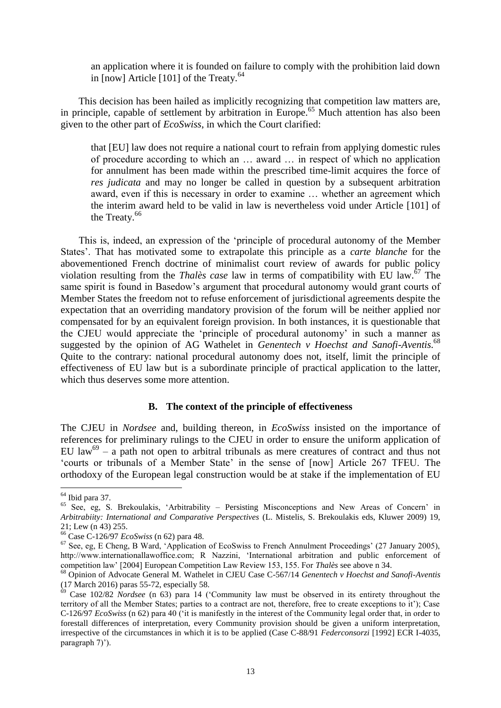<span id="page-13-1"></span>an application where it is founded on failure to comply with the prohibition laid down in  $\lceil \text{now} \rceil$  Article  $\lceil 101 \rceil$  of the Treaty.<sup>64</sup>

This decision has been hailed as implicitly recognizing that competition law matters are, in principle, capable of settlement by arbitration in Europe. <sup>65</sup> Much attention has also been given to the other part of *EcoSwiss*, in which the Court clarified:

that [EU] law does not require a national court to refrain from applying domestic rules of procedure according to which an … award … in respect of which no application for annulment has been made within the prescribed time-limit acquires the force of *res judicata* and may no longer be called in question by a subsequent arbitration award, even if this is necessary in order to examine … whether an agreement which the interim award held to be valid in law is nevertheless void under Article [101] of the Treaty.<sup>66</sup>

This is, indeed, an expression of the 'principle of procedural autonomy of the Member States'. That has motivated some to extrapolate this principle as a *carte blanche* for the abovementioned French doctrine of minimalist court review of awards for public policy violation resulting from the *Thalès case* law in terms of compatibility with EU law.<sup>67</sup> The same spirit is found in Basedow's argument that procedural autonomy would grant courts of Member States the freedom not to refuse enforcement of jurisdictional agreements despite the expectation that an overriding mandatory provision of the forum will be neither applied nor compensated for by an equivalent foreign provision. In both instances, it is questionable that the CJEU would appreciate the 'principle of procedural autonomy' in such a manner as suggested by the opinion of AG Wathelet in *Genentech v Hoechst and Sanofi-Aventis*. 68 Quite to the contrary: national procedural autonomy does not, itself, limit the principle of effectiveness of EU law but is a subordinate principle of practical application to the latter, which thus deserves some more attention.

#### <span id="page-13-2"></span><span id="page-13-0"></span>**B. The context of the principle of effectiveness**

The CJEU in *Nordsee* and, building thereon, in *EcoSwiss* insisted on the importance of references for preliminary rulings to the CJEU in order to ensure the uniform application of EU law<sup>69</sup> – a path not open to arbitral tribunals as mere creatures of contract and thus not 'courts or tribunals of a Member State' in the sense of [now] Article 267 TFEU. The orthodoxy of the European legal construction would be at stake if the implementation of EU

<sup>64</sup> Ibid para 37.

<sup>65</sup> See, eg, S. Brekoulakis, 'Arbitrability – Persisting Misconceptions and New Areas of Concern' in *Arbitrabiity: International and Comparative Perspectives* (L. Mistelis, S. Brekoulakis eds, Kluwer 2009) 19, 21; Lew (n [43\)](#page-9-0) 255.

<sup>66</sup> Case C-126/97 *EcoSwiss* (n [62\)](#page-12-0) para 48.

<sup>67</sup> See, eg, E Cheng, B Ward, 'Application of EcoSwiss to French Annulment Proceedings' (27 January 2005), http://www.internationallawoffice.com; R Nazzini, 'International arbitration and public enforcement of competition law' [2004] European Competition Law Review 153, 155. For *Thalès* see above n [34.](#page-8-3)

<sup>68</sup> Opinion of Advocate General M. Wathelet in CJEU Case C-567/14 *Genentech v Hoechst and Sanofi-Aventis* (17 March 2016) paras 55-72, especially 58.

<sup>69</sup> Case 102/82 *Nordsee* (n [63\)](#page-12-1) para 14 ('Community law must be observed in its entirety throughout the territory of all the Member States; parties to a contract are not, therefore, free to create exceptions to it'); Case C-126/97 *EcoSwiss* (n [62\)](#page-12-0) para 40 ('it is manifestly in the interest of the Community legal order that, in order to forestall differences of interpretation, every Community provision should be given a uniform interpretation, irrespective of the circumstances in which it is to be applied (Case C-88/91 *Federconsorzi* [1992] ECR I-4035, paragraph 7)').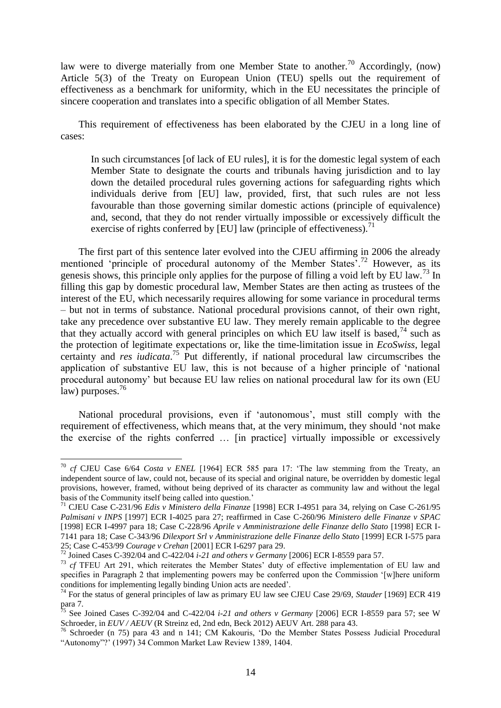law were to diverge materially from one Member State to another.<sup>70</sup> Accordingly, (now) Article 5(3) of the Treaty on European Union (TEU) spells out the requirement of effectiveness as a benchmark for uniformity, which in the EU necessitates the principle of sincere cooperation and translates into a specific obligation of all Member States.

This requirement of effectiveness has been elaborated by the CJEU in a long line of cases:

<span id="page-14-1"></span>In such circumstances [of lack of EU rules], it is for the domestic legal system of each Member State to designate the courts and tribunals having jurisdiction and to lay down the detailed procedural rules governing actions for safeguarding rights which individuals derive from [EU] law, provided, first, that such rules are not less favourable than those governing similar domestic actions (principle of equivalence) and, second, that they do not render virtually impossible or excessively difficult the exercise of rights conferred by [EU] law (principle of effectiveness).<sup>71</sup>

The first part of this sentence later evolved into the CJEU affirming in 2006 the already mentioned 'principle of procedural autonomy of the Member States'.<sup>72</sup> However, as its genesis shows, this principle only applies for the purpose of filling a void left by EU law.<sup>73</sup> In filling this gap by domestic procedural law, Member States are then acting as trustees of the interest of the EU, which necessarily requires allowing for some variance in procedural terms – but not in terms of substance. National procedural provisions cannot, of their own right, take any precedence over substantive EU law. They merely remain applicable to the degree that they actually accord with general principles on which EU law itself is based,<sup>74</sup> such as the protection of legitimate expectations or, like the time-limitation issue in *EcoSwiss*, legal certainty and *res iudicata*. <sup>75</sup> Put differently, if national procedural law circumscribes the application of substantive EU law, this is not because of a higher principle of 'national procedural autonomy' but because EU law relies on national procedural law for its own (EU law) purposes. $76$ 

<span id="page-14-0"></span>National procedural provisions, even if 'autonomous', must still comply with the requirement of effectiveness, which means that, at the very minimum, they should 'not make the exercise of the rights conferred … [in practice] virtually impossible or excessively

<sup>70</sup> *cf* CJEU Case 6/64 *Costa v ENEL* [1964] ECR 585 para 17: 'The law stemming from the Treaty, an independent source of law, could not, because of its special and original nature, be overridden by domestic legal provisions, however, framed, without being deprived of its character as community law and without the legal basis of the Community itself being called into question.'

<sup>71</sup> CJEU Case C-231/96 *Edis v Ministero della Finanze* [1998] ECR I-4951 para 34, relying on Case C-261/95 *Palmisani v INPS* [1997] ECR I-4025 para 27; reaffirmed in Case C-260/96 *Ministero delle Finanze v SPAC* [1998] ECR I-4997 para 18; Case C-228/96 *Aprile v Amministrazione delle Finanze dello Stato* [1998] ECR I-7141 para 18; Case C-343/96 *Dilexport Srl v Amministrazione delle Finanze dello Stato* [1999] ECR I-575 para 25; Case C-453/99 *Courage v Crehan* [2001] ECR I-6297 para 29.

<sup>72</sup> Joined Cases C-392/04 and C-422/04 *i-21 and others v Germany* [2006] ECR I-8559 para 57.

<sup>73</sup> *cf* TFEU Art 291, which reiterates the Member States' duty of effective implementation of EU law and specifies in Paragraph 2 that implementing powers may be conferred upon the Commission '[w]here uniform conditions for implementing legally binding Union acts are needed'.

<sup>74</sup> For the status of general principles of law as primary EU law see CJEU Case 29/69, *Stauder* [1969] ECR 419 para 7.

<sup>75</sup> See Joined Cases C-392/04 and C-422/04 *i-21 and others v Germany* [2006] ECR I-8559 para 57; see W Schroeder, in *EUV / AEUV* (R Streinz ed, 2nd edn, Beck 2012) AEUV Art. 288 para 43.

<sup>76</sup> Schroeder (n [75\)](#page-14-0) para 43 and n 141; CM Kakouris, 'Do the Member States Possess Judicial Procedural "Autonomy"?' (1997) 34 Common Market Law Review 1389, 1404.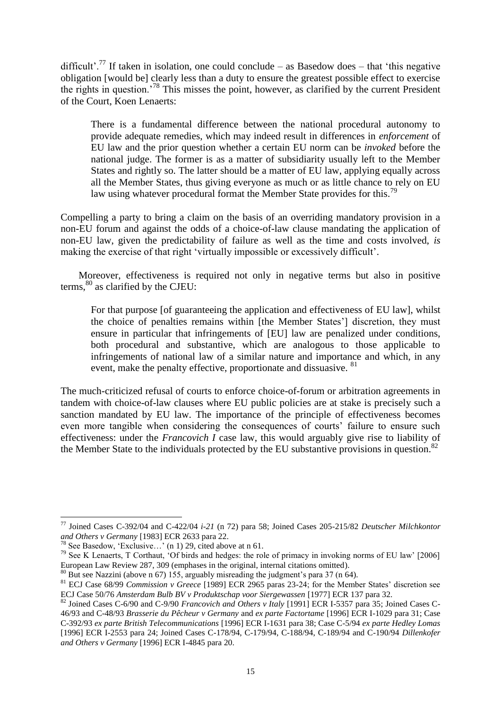difficult'.<sup>77</sup> If taken in isolation, one could conclude – as Basedow does – that 'this negative obligation [would be] clearly less than a duty to ensure the greatest possible effect to exercise the rights in question.'<sup>78</sup> This misses the point, however, as clarified by the current President of the Court, Koen Lenaerts:

<span id="page-15-1"></span>There is a fundamental difference between the national procedural autonomy to provide adequate remedies, which may indeed result in differences in *enforcement* of EU law and the prior question whether a certain EU norm can be *invoked* before the national judge. The former is as a matter of subsidiarity usually left to the Member States and rightly so. The latter should be a matter of EU law, applying equally across all the Member States, thus giving everyone as much or as little chance to rely on EU law using whatever procedural format the Member State provides for this.<sup>79</sup>

Compelling a party to bring a claim on the basis of an overriding mandatory provision in a non-EU forum and against the odds of a choice-of-law clause mandating the application of non-EU law, given the predictability of failure as well as the time and costs involved, *is* making the exercise of that right 'virtually impossible or excessively difficult'.

Moreover, effectiveness is required not only in negative terms but also in positive terms, $80$  as clarified by the CJEU:

<span id="page-15-0"></span>For that purpose [of guaranteeing the application and effectiveness of EU law], whilst the choice of penalties remains within [the Member States'] discretion, they must ensure in particular that infringements of [EU] law are penalized under conditions, both procedural and substantive, which are analogous to those applicable to infringements of national law of a similar nature and importance and which, in any event, make the penalty effective, proportionate and dissuasive. <sup>81</sup>

The much-criticized refusal of courts to enforce choice-of-forum or arbitration agreements in tandem with choice-of-law clauses where EU public policies are at stake is precisely such a sanction mandated by EU law. The importance of the principle of effectiveness becomes even more tangible when considering the consequences of courts' failure to ensure such effectiveness: under the *Francovich I* case law, this would arguably give rise to liability of the Member State to the individuals protected by the EU substantive provisions in question. $82$ 

<sup>77</sup> Joined Cases C-392/04 and C-422/04 *i-21* (n [72\)](#page-14-1) para 58; Joined Cases 205-215/82 *Deutscher Milchkontor and Others v Germany* [1983] ECR 2633 para 22.

<sup>&</sup>lt;sup>78</sup> See Basedow, 'Exclusive...' (n [1\)](#page-1-0) 29, cited above at n [61.](#page-12-2)

<sup>79</sup> See K Lenaerts, T Corthaut, 'Of birds and hedges: the role of primacy in invoking norms of EU law' [2006] European Law Review 287, 309 (emphases in the original, internal citations omitted).

<sup>80</sup> But see Nazzini (above n [67\)](#page-13-0) 155, arguably misreading the judgment's para 37 (n [64\)](#page-13-1).

<sup>81</sup> ECJ Case 68/99 *Commission v Greece* [1989] ECR 2965 paras 23-24; for the Member States' discretion see ECJ Case 50/76 *Amsterdam Bulb BV v Produktschap voor Siergewassen* [1977] ECR 137 para 32.

<sup>82</sup> Joined Cases C-6/90 and C-9/90 *Francovich and Others v Italy* [1991] ECR I-5357 para 35; Joined Cases C-46/93 and C-48/93 *Brasserie du Pêcheur v Germany* and *ex parte Factortame* [1996] ECR I-1029 para 31; Case C-392/93 *ex parte British Telecommunications* [1996] ECR I-1631 para 38; Case C-5/94 *ex parte Hedley Lomas* [1996] ECR I-2553 para 24; Joined Cases C-178/94, C-179/94, C-188/94, C-189/94 and C-190/94 *Dillenkofer and Others v Germany* [1996] ECR I-4845 para 20.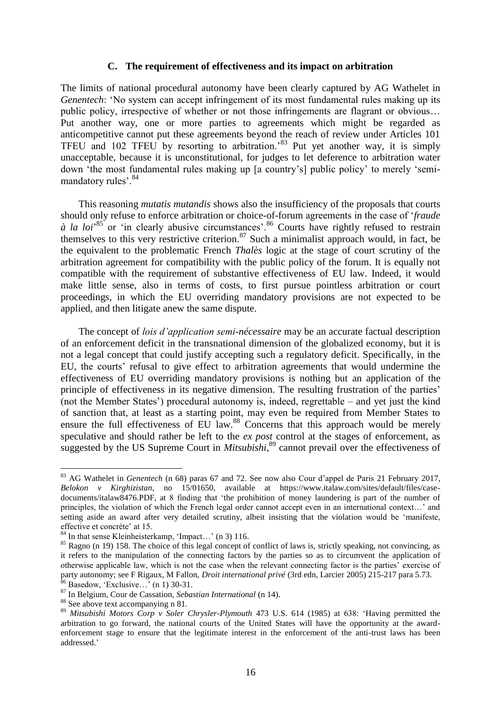#### <span id="page-16-0"></span>**C. The requirement of effectiveness and its impact on arbitration**

The limits of national procedural autonomy have been clearly captured by AG Wathelet in *Genentech*: 'No system can accept infringement of its most fundamental rules making up its public policy, irrespective of whether or not those infringements are flagrant or obvious… Put another way, one or more parties to agreements which might be regarded as anticompetitive cannot put these agreements beyond the reach of review under Articles 101 TFEU and 102 TFEU by resorting to arbitration.'<sup>83</sup> Put yet another way, it is simply unacceptable, because it is unconstitutional, for judges to let deference to arbitration water down 'the most fundamental rules making up [a country's] public policy' to merely 'semimandatory rules'.<sup>84</sup>

This reasoning *mutatis mutandis* shows also the insufficiency of the proposals that courts should only refuse to enforce arbitration or choice-of-forum agreements in the case of '*fraude à la loi*<sup>85</sup> or 'in clearly abusive circumstances'.<sup>86</sup> Courts have rightly refused to restrain themselves to this very restrictive criterion.<sup>87</sup> Such a minimalist approach would, in fact, be the equivalent to the problematic French *Thalès* logic at the stage of court scrutiny of the arbitration agreement for compatibility with the public policy of the forum. It is equally not compatible with the requirement of substantive effectiveness of EU law. Indeed, it would make little sense, also in terms of costs, to first pursue pointless arbitration or court proceedings, in which the EU overriding mandatory provisions are not expected to be applied, and then litigate anew the same dispute.

The concept of *lois d'application semi-nécessaire* may be an accurate factual description of an enforcement deficit in the transnational dimension of the globalized economy, but it is not a legal concept that could justify accepting such a regulatory deficit. Specifically, in the EU, the courts' refusal to give effect to arbitration agreements that would undermine the effectiveness of EU overriding mandatory provisions is nothing but an application of the principle of effectiveness in its negative dimension. The resulting frustration of the parties' (not the Member States') procedural autonomy is, indeed, regrettable – and yet just the kind of sanction that, at least as a starting point, may even be required from Member States to ensure the full effectiveness of EU law.<sup>88</sup> Concerns that this approach would be merely speculative and should rather be left to the *ex post* control at the stages of enforcement, as suggested by the US Supreme Court in *Mitsubishi*,<sup>89</sup> cannot prevail over the effectiveness of

<span id="page-16-1"></span><sup>83</sup> AG Wathelet in *Genentech* (n [68\)](#page-13-2) paras 67 and 72. See now also Cour d'appel de Paris 21 February 2017, *Belokon v Kirghizistan*, no 15/01650, available at https://www.italaw.com/sites/default/files/casedocuments/italaw8476.PDF, at 8 finding that 'the prohibition of money laundering is part of the number of principles, the violation of which the French legal order cannot accept even in an international context…' and setting aside an award after very detailed scrutiny, albeit insisting that the violation would be 'manifeste, effective et concrète' at 15.

 $84$  In that sense Kleinheisterkamp, 'Impact...' (n [3\)](#page-2-0) 116.

<sup>&</sup>lt;sup>85</sup> Ragno (n [19\)](#page-5-0) 158. The choice of this legal concept of conflict of laws is, strictly speaking, not convincing, as it refers to the manipulation of the connecting factors by the parties so as to circumvent the application of otherwise applicable law, which is not the case when the relevant connecting factor is the parties' exercise of party autonomy; see F Rigaux, M Fallon, *Droit international privé* (3rd edn, Larcier 2005) 215-217 para 5.73.

 $86$  Basedow, 'Exclusive...' (n [1\)](#page-1-0) 30-31.

<sup>87</sup> In Belgium, Cour de Cassation, *Sebastian International* (n [14\)](#page-4-0).

<sup>88</sup> See above text accompanying n [81.](#page-15-0)

<sup>89</sup> *Mitsubishi Motors Corp v Soler Chrysler-Plymouth* 473 U.S. 614 (1985) at 638: 'Having permitted the arbitration to go forward, the national courts of the United States will have the opportunity at the awardenforcement stage to ensure that the legitimate interest in the enforcement of the anti-trust laws has been addressed.'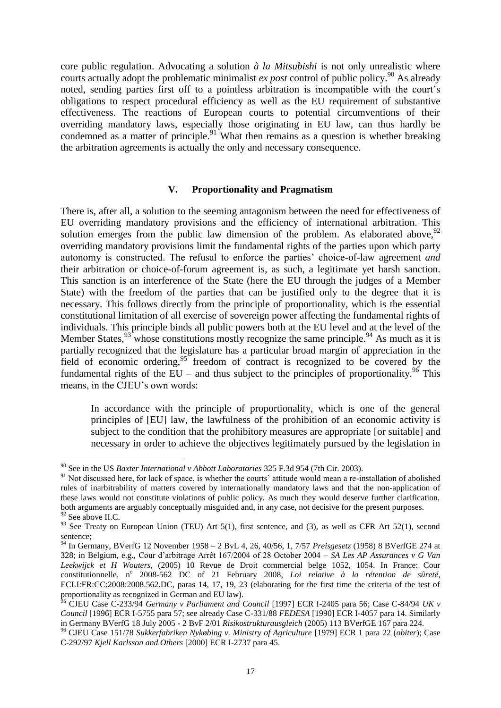core public regulation. Advocating a solution *à la Mitsubishi* is not only unrealistic where courts actually adopt the problematic minimalist *ex post* control of public policy.<sup>90</sup> As already noted, sending parties first off to a pointless arbitration is incompatible with the court's obligations to respect procedural efficiency as well as the EU requirement of substantive effectiveness. The reactions of European courts to potential circumventions of their overriding mandatory laws, especially those originating in EU law, can thus hardly be condemned as a matter of principle. $91$  What then remains as a question is whether breaking the arbitration agreements is actually the only and necessary consequence.

# <span id="page-17-3"></span><span id="page-17-2"></span><span id="page-17-1"></span>**V. Proportionality and Pragmatism**

There is, after all, a solution to the seeming antagonism between the need for effectiveness of EU overriding mandatory provisions and the efficiency of international arbitration. This solution emerges from the public law dimension of the problem. As elaborated above,  $92$ overriding mandatory provisions limit the fundamental rights of the parties upon which party autonomy is constructed. The refusal to enforce the parties' choice-of-law agreement *and* their arbitration or choice-of-forum agreement is, as such, a legitimate yet harsh sanction. This sanction is an interference of the State (here the EU through the judges of a Member State) with the freedom of the parties that can be justified only to the degree that it is necessary. This follows directly from the principle of proportionality, which is the essential constitutional limitation of all exercise of sovereign power affecting the fundamental rights of individuals. This principle binds all public powers both at the EU level and at the level of the Member States,  $93$  whose constitutions mostly recognize the same principle.  $94$  As much as it is partially recognized that the legislature has a particular broad margin of appreciation in the field of economic ordering,<sup>95</sup> freedom of contract is recognized to be covered by the fundamental rights of the EU – and thus subject to the principles of proportionality.<sup>96</sup> This means, in the CJEU's own words:

<span id="page-17-0"></span>In accordance with the principle of proportionality, which is one of the general principles of [EU] law, the lawfulness of the prohibition of an economic activity is subject to the condition that the prohibitory measures are appropriate [or suitable] and necessary in order to achieve the objectives legitimately pursued by the legislation in

<sup>90</sup> See in the US *Baxter International v Abbott Laboratories* 325 F.3d 954 (7th Cir. 2003).

<sup>&</sup>lt;sup>91</sup> Not discussed here, for lack of space, is whether the courts' attitude would mean a re-installation of abolished rules of inarbitrability of matters covered by internationally mandatory laws and that the non-application of these laws would not constitute violations of public policy. As much they would deserve further clarification, both arguments are arguably conceptually misguided and, in any case, not decisive for the present purposes. <sup>92</sup> See above II.C.

 $93$  See Treaty on European Union (TEU) Art 5(1), first sentence, and (3), as well as CFR Art 52(1), second sentence;

<sup>94</sup> In Germany, BVerfG 12 November 1958 – 2 BvL 4, 26, 40/56, 1, 7/57 *Preisgesetz* (1958) 8 BVerfGE 274 at 328; in Belgium, e.g., Cour d'arbitrage Arrêt 167/2004 of 28 October 2004 – *SA Les AP Assurances v G Van Leekwijck et H Wouters*, (2005) 10 Revue de Droit commercial belge 1052, 1054. In France: Cour constitutionnelle, nº 2008-562 DC of 21 February 2008, *Loi relative à la rétention de sûreté*, ECLI:FR:CC:2008:2008.562.DC, paras 14, 17, 19, 23 (elaborating for the first time the criteria of the test of proportionality as recognized in German and EU law).

<sup>95</sup> CJEU Case C-233/94 *Germany v Parliament and Council* [1997] ECR I-2405 para 56; Case C-84/94 *UK v Council* [1996] ECR I-5755 para 57; see already Case C-331/88 *FEDESA* [1990] ECR I-4057 para 14. Similarly in Germany BVerfG 18 July 2005 - 2 BvF 2/01 *Risikostrukturausgleich* (2005) 113 BVerfGE 167 para 224.

<sup>96</sup> CJEU Case 151/78 *Sukkerfabriken Nykøbing v. Ministry of Agriculture* [1979] ECR 1 para 22 (*obiter*); Case C-292/97 *Kjell Karlsson and Others* [2000] ECR I-2737 para 45.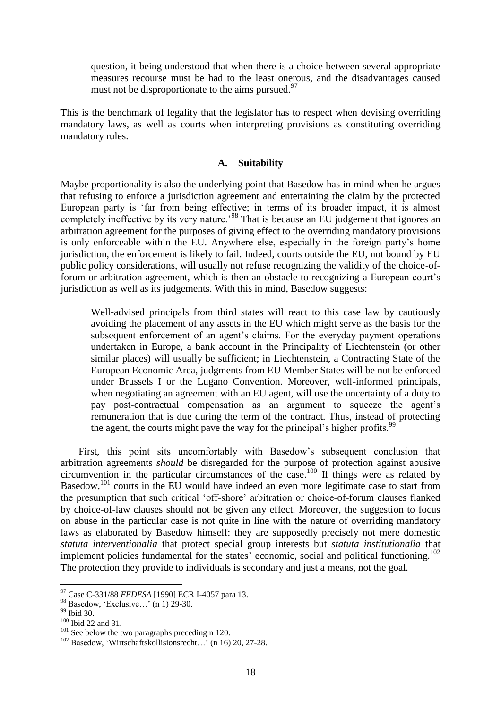question, it being understood that when there is a choice between several appropriate measures recourse must be had to the least onerous, and the disadvantages caused must not be disproportionate to the aims pursued.  $97$ 

This is the benchmark of legality that the legislator has to respect when devising overriding mandatory laws, as well as courts when interpreting provisions as constituting overriding mandatory rules.

# **A. Suitability**

Maybe proportionality is also the underlying point that Basedow has in mind when he argues that refusing to enforce a jurisdiction agreement and entertaining the claim by the protected European party is 'far from being effective; in terms of its broader impact, it is almost completely ineffective by its very nature.<sup>98</sup> That is because an EU judgement that ignores an arbitration agreement for the purposes of giving effect to the overriding mandatory provisions is only enforceable within the EU. Anywhere else, especially in the foreign party's home jurisdiction, the enforcement is likely to fail. Indeed, courts outside the EU, not bound by EU public policy considerations, will usually not refuse recognizing the validity of the choice-offorum or arbitration agreement, which is then an obstacle to recognizing a European court's jurisdiction as well as its judgements. With this in mind, Basedow suggests:

Well-advised principals from third states will react to this case law by cautiously avoiding the placement of any assets in the EU which might serve as the basis for the subsequent enforcement of an agent's claims. For the everyday payment operations undertaken in Europe, a bank account in the Principality of Liechtenstein (or other similar places) will usually be sufficient; in Liechtenstein, a Contracting State of the European Economic Area, judgments from EU Member States will be not be enforced under Brussels I or the Lugano Convention. Moreover, well-informed principals, when negotiating an agreement with an EU agent, will use the uncertainty of a duty to pay post-contractual compensation as an argument to squeeze the agent's remuneration that is due during the term of the contract. Thus, instead of protecting the agent, the courts might pave the way for the principal's higher profits.<sup>99</sup>

First, this point sits uncomfortably with Basedow's subsequent conclusion that arbitration agreements *should* be disregarded for the purpose of protection against abusive circumvention in the particular circumstances of the case. <sup>100</sup> If things were as related by Basedow,<sup>101</sup> courts in the EU would have indeed an even more legitimate case to start from the presumption that such critical 'off-shore' arbitration or choice-of-forum clauses flanked by choice-of-law clauses should not be given any effect. Moreover, the suggestion to focus on abuse in the particular case is not quite in line with the nature of overriding mandatory laws as elaborated by Basedow himself: they are supposedly precisely not mere domestic *statuta interventionalia* that protect special group interests but *statuta institutionalia* that implement policies fundamental for the states' economic, social and political functioning.<sup>102</sup> The protection they provide to individuals is secondary and just a means, not the goal.

<span id="page-18-0"></span><sup>97</sup> Case C-331/88 *FEDESA* [1990] ECR I-4057 para 13.

<sup>98</sup> Basedow, 'Exclusive…' (n [1\)](#page-1-0) 29-30.

<sup>&</sup>lt;sup>99</sup> Ibid 30.

<sup>100</sup> Ibid 22 and 31.

 $101$  See below the two paragraphs preceding n [120.](#page-23-0)

<sup>102</sup> Basedow, 'Wirtschaftskollisionsrecht…' (n 16) 20, 27-28.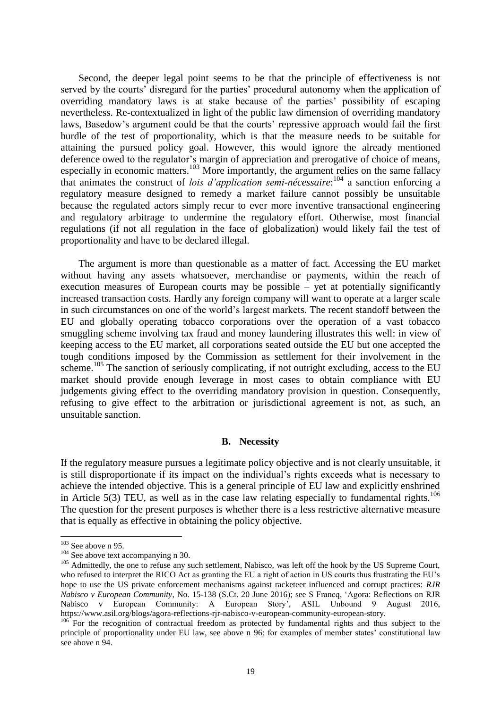Second, the deeper legal point seems to be that the principle of effectiveness is not served by the courts' disregard for the parties' procedural autonomy when the application of overriding mandatory laws is at stake because of the parties' possibility of escaping nevertheless. Re-contextualized in light of the public law dimension of overriding mandatory laws, Basedow's argument could be that the courts' repressive approach would fail the first hurdle of the test of proportionality, which is that the measure needs to be suitable for attaining the pursued policy goal. However, this would ignore the already mentioned deference owed to the regulator's margin of appreciation and prerogative of choice of means, especially in economic matters.<sup>103</sup> More importantly, the argument relies on the same fallacy that animates the construct of *lois d'application semi-nécessaire*: <sup>104</sup> a sanction enforcing a regulatory measure designed to remedy a market failure cannot possibly be unsuitable because the regulated actors simply recur to ever more inventive transactional engineering and regulatory arbitrage to undermine the regulatory effort. Otherwise, most financial regulations (if not all regulation in the face of globalization) would likely fail the test of proportionality and have to be declared illegal.

The argument is more than questionable as a matter of fact. Accessing the EU market without having any assets whatsoever, merchandise or payments, within the reach of execution measures of European courts may be possible – yet at potentially significantly increased transaction costs. Hardly any foreign company will want to operate at a larger scale in such circumstances on one of the world's largest markets. The recent standoff between the EU and globally operating tobacco corporations over the operation of a vast tobacco smuggling scheme involving tax fraud and money laundering illustrates this well: in view of keeping access to the EU market, all corporations seated outside the EU but one accepted the tough conditions imposed by the Commission as settlement for their involvement in the scheme.<sup>105</sup> The sanction of seriously complicating, if not outright excluding, access to the EU market should provide enough leverage in most cases to obtain compliance with EU judgements giving effect to the overriding mandatory provision in question. Consequently, refusing to give effect to the arbitration or jurisdictional agreement is not, as such, an unsuitable sanction.

# **B. Necessity**

If the regulatory measure pursues a legitimate policy objective and is not clearly unsuitable, it is still disproportionate if its impact on the individual's rights exceeds what is necessary to achieve the intended objective. This is a general principle of EU law and explicitly enshrined in Article 5(3) TEU, as well as in the case law relating especially to fundamental rights.<sup>106</sup> The question for the present purposes is whether there is a less restrictive alternative measure that is equally as effective in obtaining the policy objective.

 $103$  See above n [95.](#page-17-0)

<sup>&</sup>lt;sup>104</sup> See above text accompanying n [30.](#page-8-4)

<sup>&</sup>lt;sup>105</sup> Admittedly, the one to refuse any such settlement, Nabisco, was left off the hook by the US Supreme Court, who refused to interpret the RICO Act as granting the EU a right of action in US courts thus frustrating the EU's hope to use the US private enforcement mechanisms against racketeer influenced and corrupt practices: *RJR Nabisco v European Community*, No. 15-138 (S.Ct. 20 June 2016); see S Francq, 'Agora: Reflections on RJR Nabisco v European Community: A European Story', ASIL Unbound 9 August 2016, https://www.asil.org/blogs/agora-reflections-rjr-nabisco-v-european-community-european-story.

<sup>&</sup>lt;sup>106</sup> For the recognition of contractual freedom as protected by fundamental rights and thus subject to the principle of proportionality under EU law, see above n [96;](#page-17-1) for examples of member states' constitutional law see above n [94.](#page-17-2)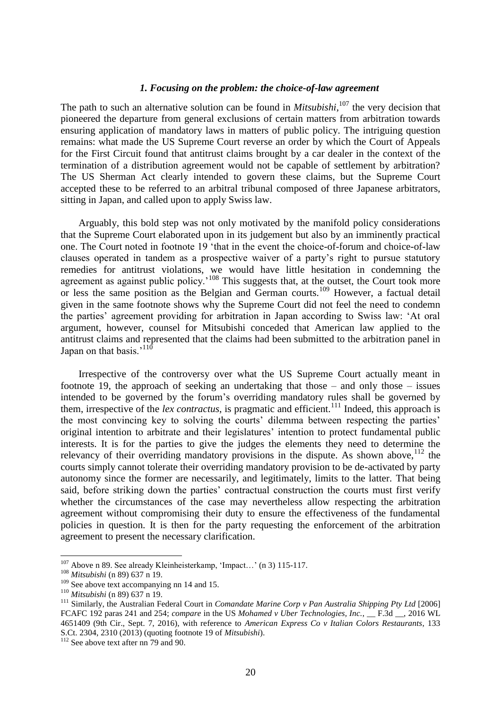# *1. Focusing on the problem: the choice-of-law agreement*

The path to such an alternative solution can be found in *Mitsubishi*, <sup>107</sup> the very decision that pioneered the departure from general exclusions of certain matters from arbitration towards ensuring application of mandatory laws in matters of public policy. The intriguing question remains: what made the US Supreme Court reverse an order by which the Court of Appeals for the First Circuit found that antitrust claims brought by a car dealer in the context of the termination of a distribution agreement would not be capable of settlement by arbitration? The US Sherman Act clearly intended to govern these claims, but the Supreme Court accepted these to be referred to an arbitral tribunal composed of three Japanese arbitrators, sitting in Japan, and called upon to apply Swiss law.

Arguably, this bold step was not only motivated by the manifold policy considerations that the Supreme Court elaborated upon in its judgement but also by an imminently practical one. The Court noted in footnote 19 'that in the event the choice-of-forum and choice-of-law clauses operated in tandem as a prospective waiver of a party's right to pursue statutory remedies for antitrust violations, we would have little hesitation in condemning the agreement as against public policy.<sup> $108$ </sup> This suggests that, at the outset, the Court took more or less the same position as the Belgian and German courts.<sup>109</sup> However, a factual detail given in the same footnote shows why the Supreme Court did not feel the need to condemn the parties' agreement providing for arbitration in Japan according to Swiss law: 'At oral argument, however, counsel for Mitsubishi conceded that American law applied to the antitrust claims and represented that the claims had been submitted to the arbitration panel in Japan on that basis.'<sup>110</sup>

Irrespective of the controversy over what the US Supreme Court actually meant in footnote 19, the approach of seeking an undertaking that those – and only those – issues intended to be governed by the forum's overriding mandatory rules shall be governed by them, irrespective of the *lex contractus*, is pragmatic and efficient.<sup>111</sup> Indeed, this approach is the most convincing key to solving the courts' dilemma between respecting the parties' original intention to arbitrate and their legislatures' intention to protect fundamental public interests. It is for the parties to give the judges the elements they need to determine the relevancy of their overriding mandatory provisions in the dispute. As shown above,  $112$  the courts simply cannot tolerate their overriding mandatory provision to be de-activated by party autonomy since the former are necessarily, and legitimately, limits to the latter. That being said, before striking down the parties' contractual construction the courts must first verify whether the circumstances of the case may nevertheless allow respecting the arbitration agreement without compromising their duty to ensure the effectiveness of the fundamental policies in question. It is then for the party requesting the enforcement of the arbitration agreement to present the necessary clarification.

<sup>107</sup> Above n [89.](#page-16-1) See already Kleinheisterkamp, 'Impact…' ([n 3\)](#page-2-0) 115-117.

<sup>108</sup> *Mitsubishi* (n [89\)](#page-16-1) 637 n 19.

<sup>&</sup>lt;sup>109</sup> See above text accompanying nn [14](#page-4-0) and [15.](#page-4-1)

<sup>110</sup> *Mitsubishi* (n [89\)](#page-16-1) 637 n 19.

<sup>111</sup> Similarly, the Australian Federal Court in *Comandate Marine Corp v Pan Australia Shipping Pty Ltd* [2006] FCAFC 192 paras 241 and 254; *compare* in the US *Mohamed v Uber Technologies, Inc.*, \_\_ F.3d \_\_, 2016 WL 4651409 (9th Cir., Sept. 7, 2016), with reference to *American Express Co v Italian Colors Restaurants*, 133 S.Ct. 2304, 2310 (2013) (quoting footnote 19 of *Mitsubishi*).

<sup>&</sup>lt;sup>112</sup> See above text after nn [79](#page-15-1) and [90.](#page-17-3)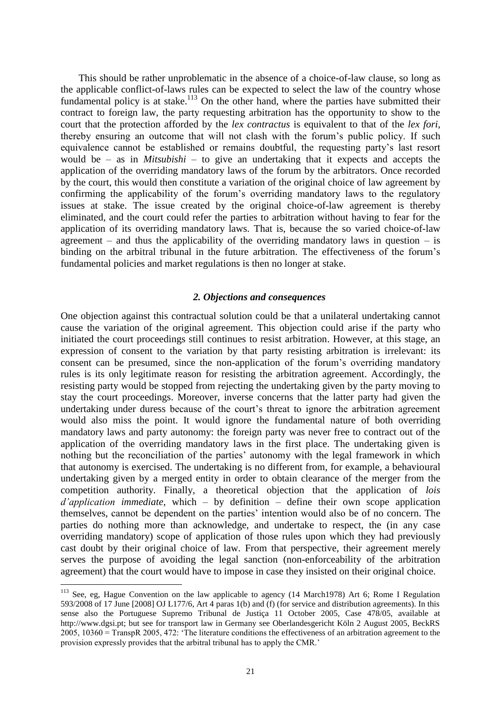This should be rather unproblematic in the absence of a choice-of-law clause, so long as the applicable conflict-of-laws rules can be expected to select the law of the country whose fundamental policy is at stake.<sup>113</sup> On the other hand, where the parties have submitted their contract to foreign law, the party requesting arbitration has the opportunity to show to the court that the protection afforded by the *lex contractus* is equivalent to that of the *lex fori*, thereby ensuring an outcome that will not clash with the forum's public policy. If such equivalence cannot be established or remains doubtful, the requesting party's last resort would be – as in *Mitsubishi* – to give an undertaking that it expects and accepts the application of the overriding mandatory laws of the forum by the arbitrators. Once recorded by the court, this would then constitute a variation of the original choice of law agreement by confirming the applicability of the forum's overriding mandatory laws to the regulatory issues at stake. The issue created by the original choice-of-law agreement is thereby eliminated, and the court could refer the parties to arbitration without having to fear for the application of its overriding mandatory laws. That is, because the so varied choice-of-law agreement – and thus the applicability of the overriding mandatory laws in question – is binding on the arbitral tribunal in the future arbitration. The effectiveness of the forum's fundamental policies and market regulations is then no longer at stake.

# *2. Objections and consequences*

One objection against this contractual solution could be that a unilateral undertaking cannot cause the variation of the original agreement. This objection could arise if the party who initiated the court proceedings still continues to resist arbitration. However, at this stage, an expression of consent to the variation by that party resisting arbitration is irrelevant: its consent can be presumed, since the non-application of the forum's overriding mandatory rules is its only legitimate reason for resisting the arbitration agreement. Accordingly, the resisting party would be stopped from rejecting the undertaking given by the party moving to stay the court proceedings. Moreover, inverse concerns that the latter party had given the undertaking under duress because of the court's threat to ignore the arbitration agreement would also miss the point. It would ignore the fundamental nature of both overriding mandatory laws and party autonomy: the foreign party was never free to contract out of the application of the overriding mandatory laws in the first place. The undertaking given is nothing but the reconciliation of the parties' autonomy with the legal framework in which that autonomy is exercised. The undertaking is no different from, for example, a behavioural undertaking given by a merged entity in order to obtain clearance of the merger from the competition authority. Finally, a theoretical objection that the application of *lois d'application immediate*, which – by definition – define their own scope application themselves, cannot be dependent on the parties' intention would also be of no concern. The parties do nothing more than acknowledge, and undertake to respect, the (in any case overriding mandatory) scope of application of those rules upon which they had previously cast doubt by their original choice of law. From that perspective, their agreement merely serves the purpose of avoiding the legal sanction (non-enforceability of the arbitration agreement) that the court would have to impose in case they insisted on their original choice.

<sup>&</sup>lt;sup>113</sup> See, eg, Hague Convention on the law applicable to agency (14 March1978) Art 6; Rome I Regulation 593/2008 of 17 June [2008] OJ L177/6, Art 4 paras 1(b) and (f) (for service and distribution agreements). In this sense also the Portuguese Supremo Tribunal de Justiça 11 October 2005, Case 478/05, available at http://www.dgsi.pt; but see for transport law in Germany see Oberlandesgericht Köln 2 August 2005, BeckRS 2005, 10360 = TranspR 2005, 472: 'The literature conditions the effectiveness of an arbitration agreement to the provision expressly provides that the arbitral tribunal has to apply the CMR.'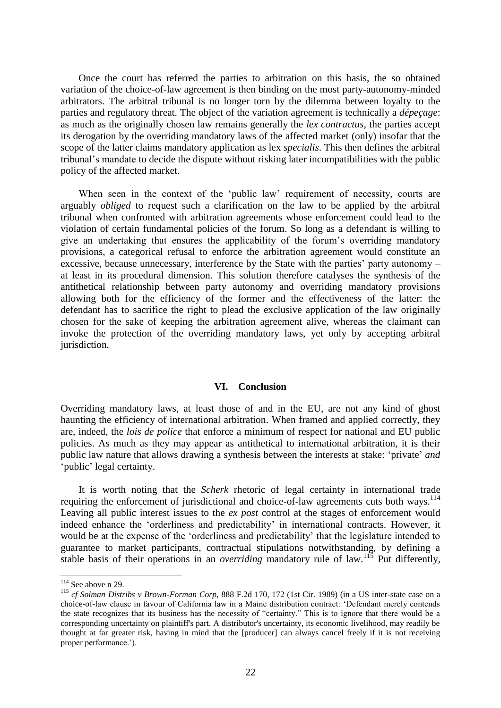Once the court has referred the parties to arbitration on this basis, the so obtained variation of the choice-of-law agreement is then binding on the most party-autonomy-minded arbitrators. The arbitral tribunal is no longer torn by the dilemma between loyalty to the parties and regulatory threat. The object of the variation agreement is technically a *dépeçage*: as much as the originally chosen law remains generally the *lex contractus*, the parties accept its derogation by the overriding mandatory laws of the affected market (only) insofar that the scope of the latter claims mandatory application as lex *specialis*. This then defines the arbitral tribunal's mandate to decide the dispute without risking later incompatibilities with the public policy of the affected market.

When seen in the context of the 'public law' requirement of necessity, courts are arguably *obliged* to request such a clarification on the law to be applied by the arbitral tribunal when confronted with arbitration agreements whose enforcement could lead to the violation of certain fundamental policies of the forum. So long as a defendant is willing to give an undertaking that ensures the applicability of the forum's overriding mandatory provisions, a categorical refusal to enforce the arbitration agreement would constitute an excessive, because unnecessary, interference by the State with the parties' party autonomy – at least in its procedural dimension. This solution therefore catalyses the synthesis of the antithetical relationship between party autonomy and overriding mandatory provisions allowing both for the efficiency of the former and the effectiveness of the latter: the defendant has to sacrifice the right to plead the exclusive application of the law originally chosen for the sake of keeping the arbitration agreement alive, whereas the claimant can invoke the protection of the overriding mandatory laws, yet only by accepting arbitral jurisdiction.

#### **VI. Conclusion**

Overriding mandatory laws, at least those of and in the EU, are not any kind of ghost haunting the efficiency of international arbitration. When framed and applied correctly, they are, indeed, the *lois de police* that enforce a minimum of respect for national and EU public policies. As much as they may appear as antithetical to international arbitration, it is their public law nature that allows drawing a synthesis between the interests at stake: 'private' *and* 'public' legal certainty.

It is worth noting that the *Scherk* rhetoric of legal certainty in international trade requiring the enforcement of jurisdictional and choice-of-law agreements cuts both ways.<sup>114</sup> Leaving all public interest issues to the *ex post* control at the stages of enforcement would indeed enhance the 'orderliness and predictability' in international contracts. However, it would be at the expense of the 'orderliness and predictability' that the legislature intended to guarantee to market participants, contractual stipulations notwithstanding, by defining a stable basis of their operations in an *overriding* mandatory rule of law.<sup>115</sup> Put differently,

<sup>&</sup>lt;sup>114</sup> See above n [29.](#page-7-0)

<sup>115</sup> *cf Solman Distribs v Brown-Forman Corp*, 888 F.2d 170, 172 (1st Cir. 1989) (in a US inter-state case on a choice-of-law clause in favour of California law in a Maine distribution contract: 'Defendant merely contends the state recognizes that its business has the necessity of "certainty." This is to ignore that there would be a corresponding uncertainty on plaintiff's part. A distributor's uncertainty, its economic livelihood, may readily be thought at far greater risk, having in mind that the [producer] can always cancel freely if it is not receiving proper performance.').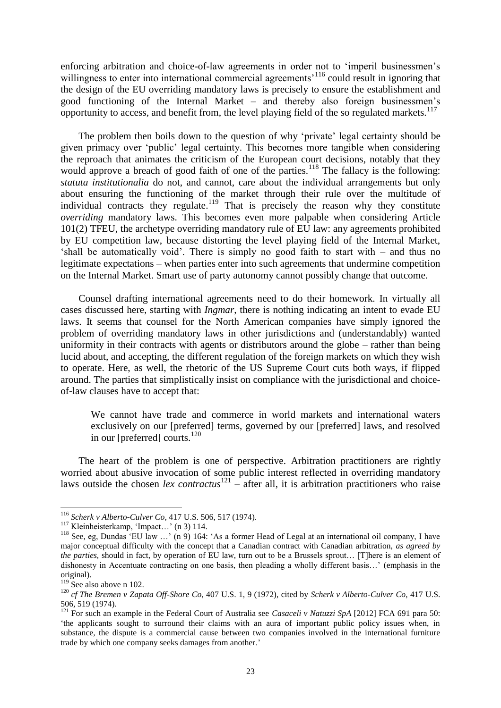enforcing arbitration and choice-of-law agreements in order not to 'imperil businessmen's willingness to enter into international commercial agreements<sup>116</sup> could result in ignoring that the design of the EU overriding mandatory laws is precisely to ensure the establishment and good functioning of the Internal Market – and thereby also foreign businessmen's opportunity to access, and benefit from, the level playing field of the so regulated markets.<sup>117</sup>

The problem then boils down to the question of why 'private' legal certainty should be given primacy over 'public' legal certainty. This becomes more tangible when considering the reproach that animates the criticism of the European court decisions, notably that they would approve a breach of good faith of one of the parties.<sup>118</sup> The fallacy is the following: *statuta institutionalia* do not, and cannot, care about the individual arrangements but only about ensuring the functioning of the market through their rule over the multitude of individual contracts they regulate.<sup>119</sup> That is precisely the reason why they constitute *overriding* mandatory laws. This becomes even more palpable when considering Article 101(2) TFEU, the archetype overriding mandatory rule of EU law: any agreements prohibited by EU competition law, because distorting the level playing field of the Internal Market, 'shall be automatically void'. There is simply no good faith to start with – and thus no legitimate expectations – when parties enter into such agreements that undermine competition on the Internal Market. Smart use of party autonomy cannot possibly change that outcome.

Counsel drafting international agreements need to do their homework. In virtually all cases discussed here, starting with *Ingmar*, there is nothing indicating an intent to evade EU laws. It seems that counsel for the North American companies have simply ignored the problem of overriding mandatory laws in other jurisdictions and (understandably) wanted uniformity in their contracts with agents or distributors around the globe – rather than being lucid about, and accepting, the different regulation of the foreign markets on which they wish to operate. Here, as well, the rhetoric of the US Supreme Court cuts both ways, if flipped around. The parties that simplistically insist on compliance with the jurisdictional and choiceof-law clauses have to accept that:

<span id="page-23-0"></span>We cannot have trade and commerce in world markets and international waters exclusively on our [preferred] terms, governed by our [preferred] laws, and resolved in our [preferred] courts.<sup>120</sup>

The heart of the problem is one of perspective. Arbitration practitioners are rightly worried about abusive invocation of some public interest reflected in overriding mandatory laws outside the chosen *lex contractus*<sup>121</sup> – after all, it is arbitration practitioners who raise

<sup>116</sup> *Scherk v Alberto-Culver Co*, 417 U.S. 506, 517 (1974).

<sup>&</sup>lt;sup>117</sup> Kleinheisterkamp, 'Impact...' (n [3\)](#page-2-0) 114.

<sup>&</sup>lt;sup>118</sup> See, eg, Dundas 'EU law ...' (n [9\)](#page-3-1) 164: 'As a former Head of Legal at an international oil company, I have major conceptual difficulty with the concept that a Canadian contract with Canadian arbitration, *as agreed by the parties,* should in fact, by operation of EU law, turn out to be a Brussels sprout… [T]here is an element of dishonesty in Accentuate contracting on one basis, then pleading a wholly different basis…' (emphasis in the original).

 $119$  See also above [n 102.](#page-18-0)

<sup>120</sup> *cf The Bremen v Zapata Off-Shore Co*, 407 U.S. 1, 9 (1972), cited by *Scherk v Alberto-Culver Co*, 417 U.S. 506, 519 (1974).

<sup>&</sup>lt;sup>121</sup> For such an example in the Federal Court of Australia see *Casaceli v Natuzzi SpA* [2012] FCA 691 para 50: 'the applicants sought to surround their claims with an aura of important public policy issues when, in substance, the dispute is a commercial cause between two companies involved in the international furniture trade by which one company seeks damages from another.'